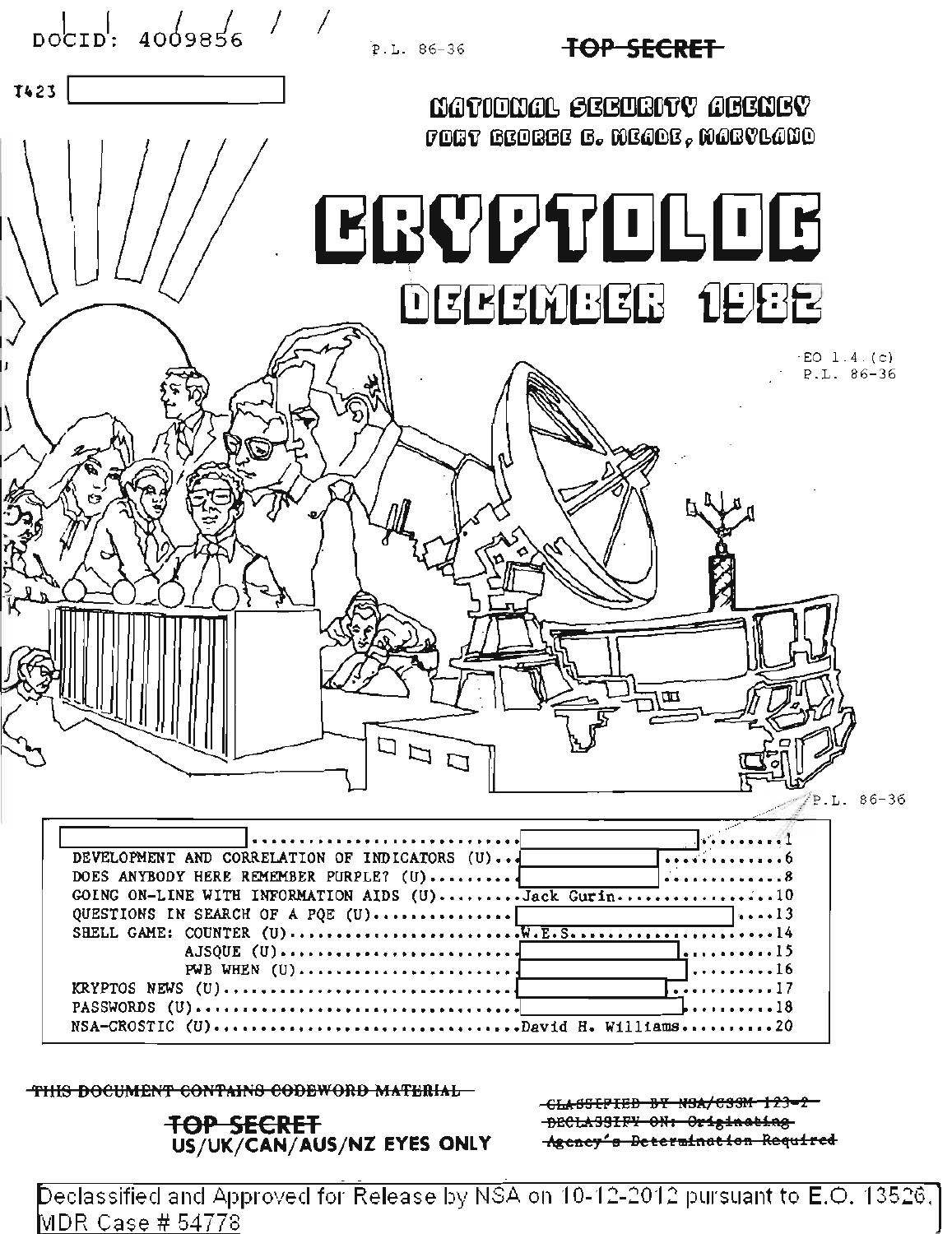

THIS DOCUMENT CONTAINS CODEWORD MATERIAL

## **TOP SECRET** US/UK/CAN/AUS/NZ EYES ONLY

-GLASSIFIED BY N9A/C3SM-123-2 DECLASSIFY ON: Originating Agency's Determination Required

Declassified and Approved for Release by NSA on 10-12-2012 pursuant to E.O. 13526. MDR Case # 54778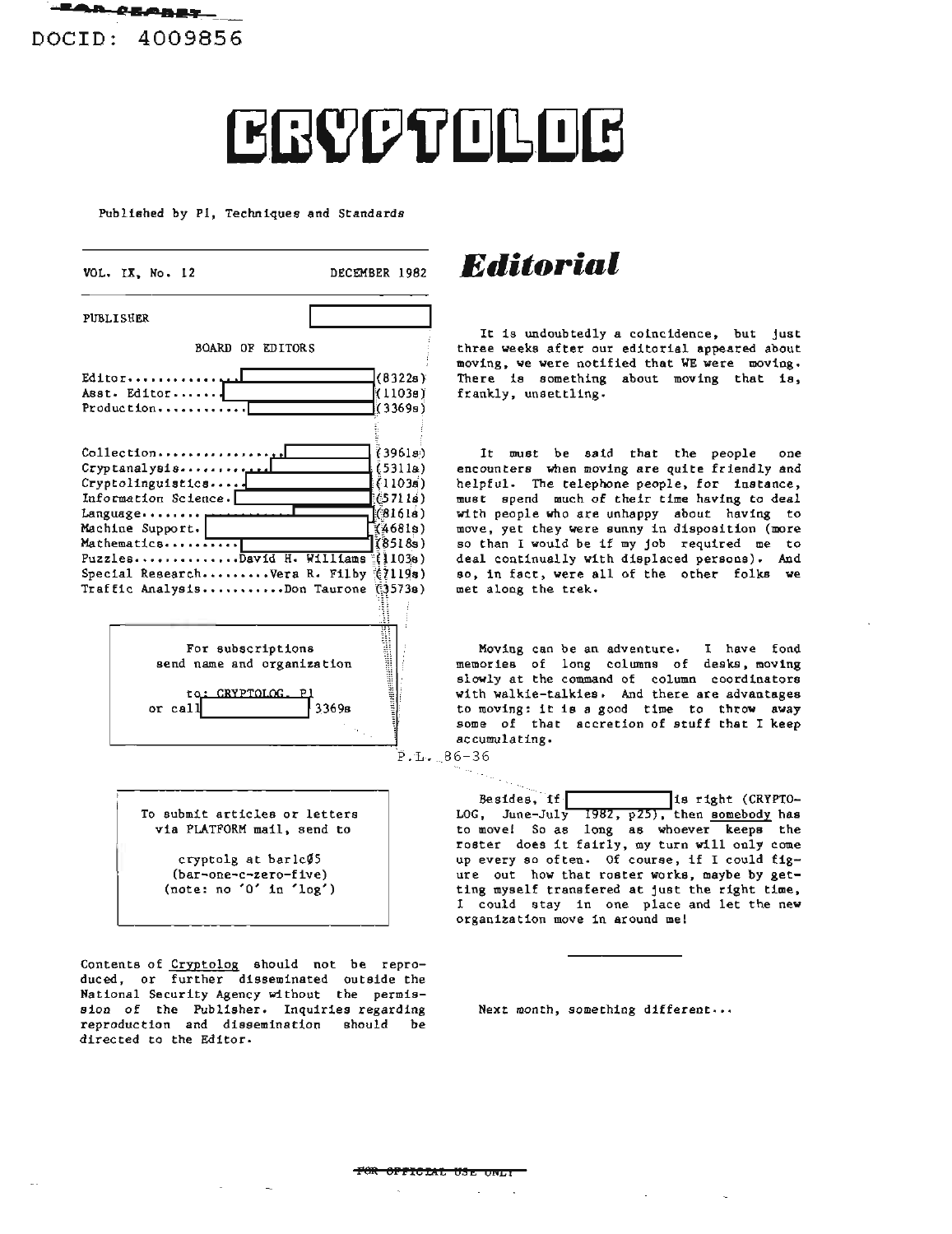**,···\_ ••L·•••** DOCID: 4009856

## ERYPTOLOG

Published by PI, Techniques and Standards

| VOL. IX, No. 12                                                                                                                                                                                                                       | DECEMBER 1982                                                                                |
|---------------------------------------------------------------------------------------------------------------------------------------------------------------------------------------------------------------------------------------|----------------------------------------------------------------------------------------------|
| PUBLISHER                                                                                                                                                                                                                             |                                                                                              |
| <b>BOARD OF EDITORS</b>                                                                                                                                                                                                               |                                                                                              |
| Editor<br>Asst. Editor<br>Production                                                                                                                                                                                                  | (8322s)<br>(1103a)<br>(3369a)                                                                |
| Collection<br>$C$ ryptanalysis<br>Cryptolinguistics<br>Information Science.<br>Language<br>Machine Support.<br>Mathematics<br>PuzzlesDavid H. Williams (1038)<br>Special ResearchVera R. Filby (7119s)<br>Traffic AnalysisDon Taurone | (39618)<br>(5311a)<br>(11036)<br>(57118)<br>[(8161s)<br><b>(4681s)</b><br>(8518s)<br>(3573a) |
| For subscriptions<br>send name and organization<br>to: CRYPTOLOG.<br>or call                                                                                                                                                          | 3369в<br>Ρ.Ι.                                                                                |
| To submit articles or letters<br>via PLATFORM mail, send to                                                                                                                                                                           |                                                                                              |

cryptolg at bar1c $/5$ (bar-one-c-zero-five) (note: no '0' in 'log')

**Contents of Cryptolog should not be repro**duced, or further disseminated outside the National Security Agency without the permission of the Publisher. Inquiries regarding reproduction and dissemination should be directed to the Editor.

DECEMBER <sup>1982</sup> *Editorial*

It is undoubtedly a coincidence, but just three weeks after our editorial appeared about moving, we were notified that WE were moving. There is something about moving that is, frankly, unsettling.

It must be said that the people one encounters when moving are quite friendly and helpful. The telephone people, for instance, must spend much of their time having to deal with people who are unhappy about having to move, yet they were sunny in disposition (more so than <sup>I</sup> would be if my job required me to deal continually with displaced persons). And so, in fact, were all of the other folks we met along the trek.

Moving can be an adventure. I have fond memories of long columns of desks, moving slowly at the command of column coordinators with walkie-talkies. And there are advantages to moving: it is <sup>a</sup> good time to throw away some of that accretion of stuff that I keep ac cumulating.

 $-86-36$ 

64.,

Besides, if  $\boxed{\qquad}$  is right (CRYPTO-LOG, June-July 1982, p25), then somebody has LOG, June-July 1982,  $p25$ , then somebody has<br>to move! So as long as whoever keeps the roster does it fairly, my turn will only come up every so often. Of course, if I could figure out how that roster works, maybe by getting myself transfered at just the right time, I could stay in one place and let the new organization move in around me!

Next month, something different...

#### **PeR 8PPleEAL** ~!E **OriLt**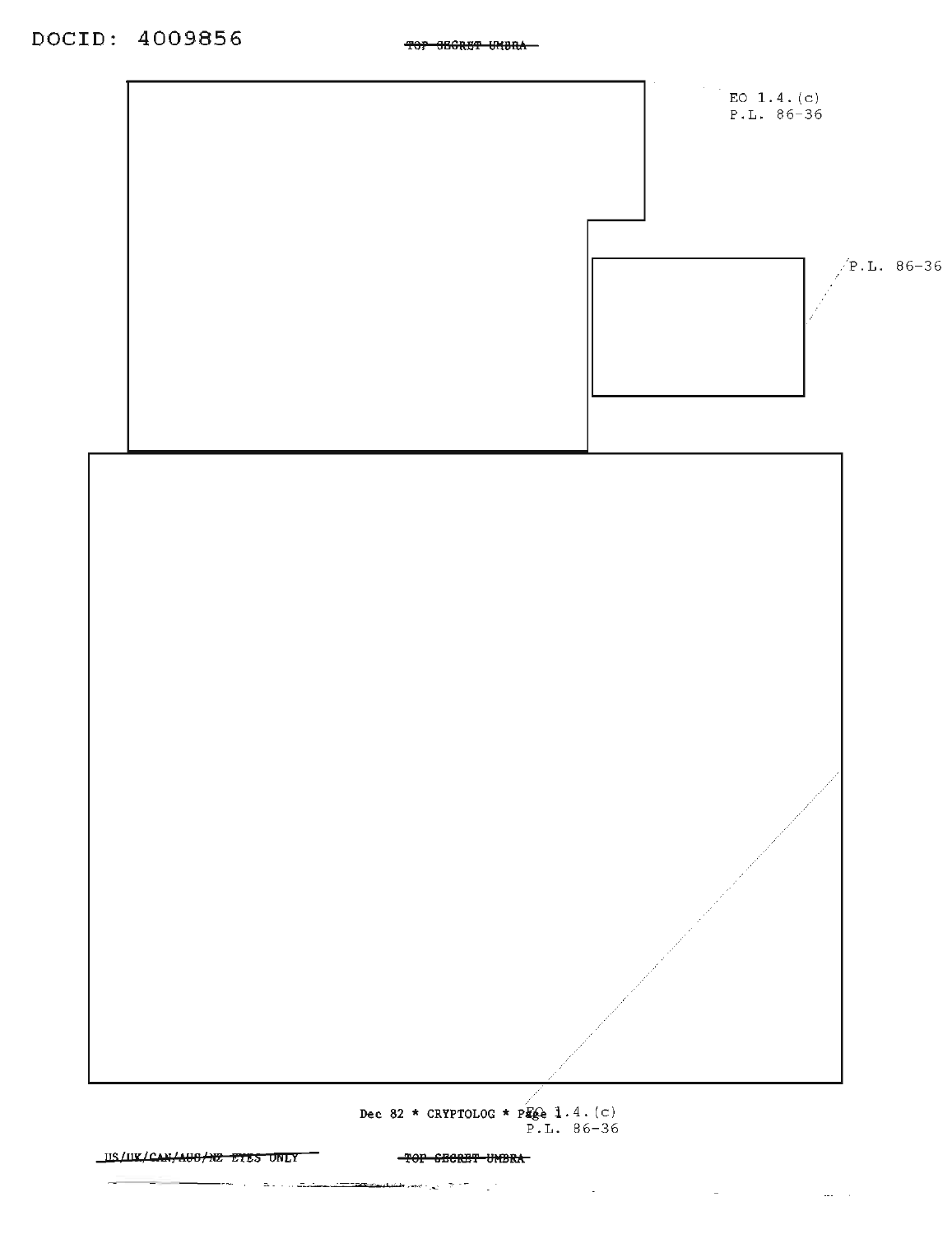

TOP SECRET UNBRA

 $\mathcal{L}^{\text{max}}_{\text{max}}$  , where  $\mathcal{L}^{\text{max}}_{\text{max}}$ 

 $\mathcal{A}=\{x_1,\ldots,x_n\}$  , we can also assume that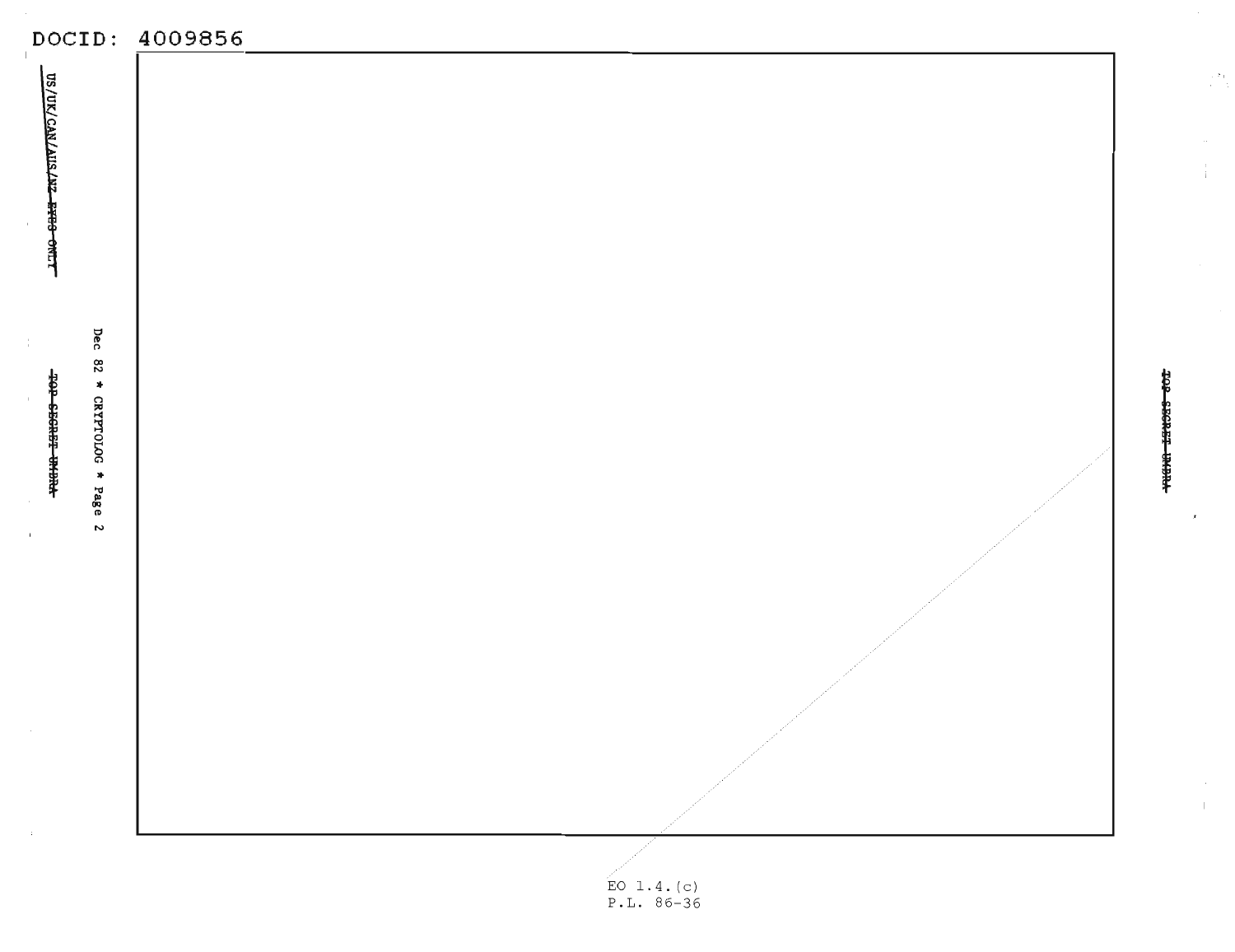|                                               | DOCID: 4009856       |                  |
|-----------------------------------------------|----------------------|------------------|
| US/UK/CAN/AIIS/AZ-ETES-ONLY                   |                      |                  |
| Dec 82 * CRYPTOLOG * Page 2<br>T0P 6E6RF THEM |                      | TOP SECRET PHEN- |
|                                               | $F \cap 1$ $A$ $(A)$ |                  |

 $\frac{1}{2}$ 

 $\mathbf{L}$ 

EO 1.4.(c)<br>P.L. 86-36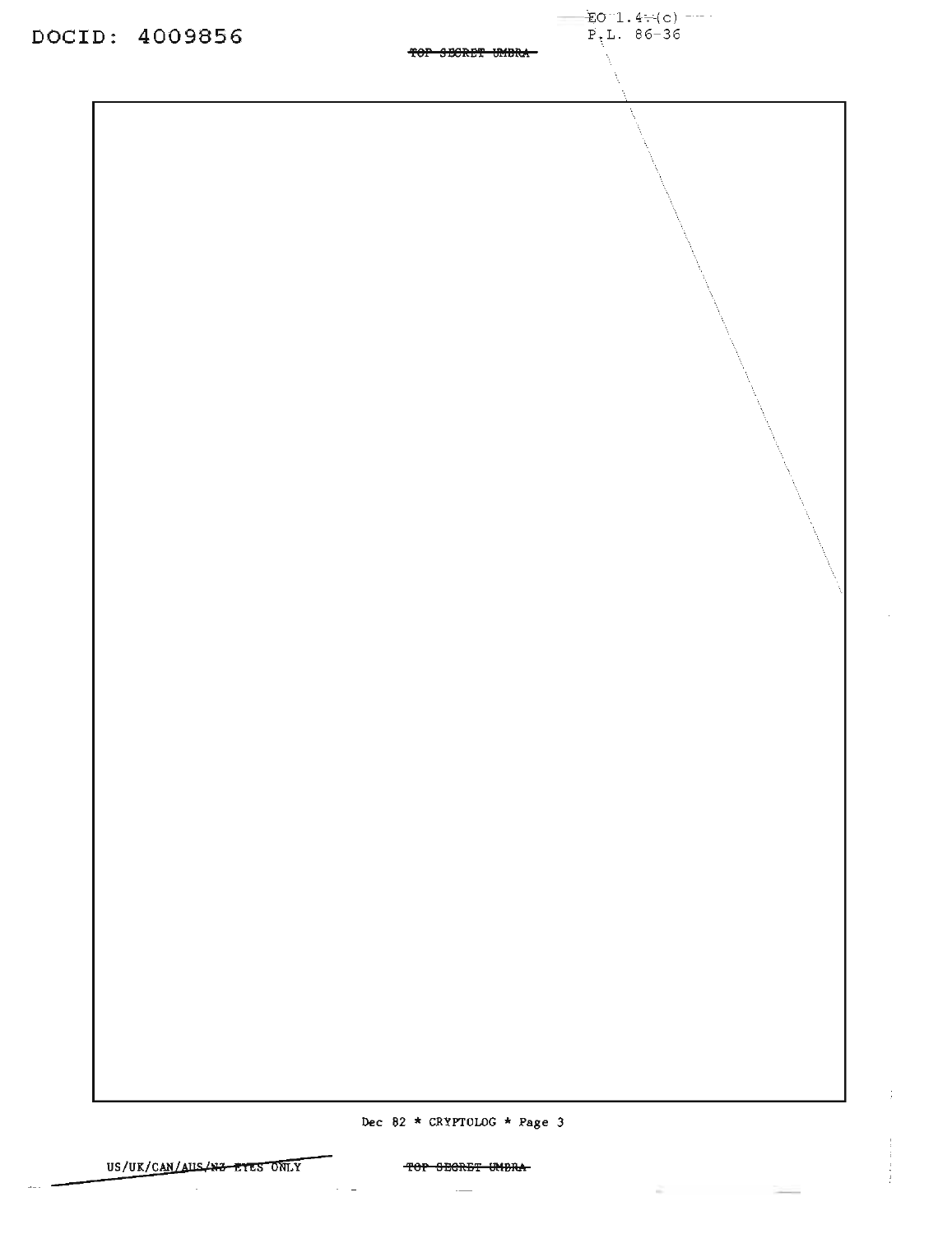$E_0$  1.4 (c) ----<br>P<sub>1</sub>L. 86-36

TOP SECRET UMBRA-

DOCID: 4009856

## TOP SECRET UMBRA

### $\overline{\phantom{a}}$

 $\sim 100$   $\sim$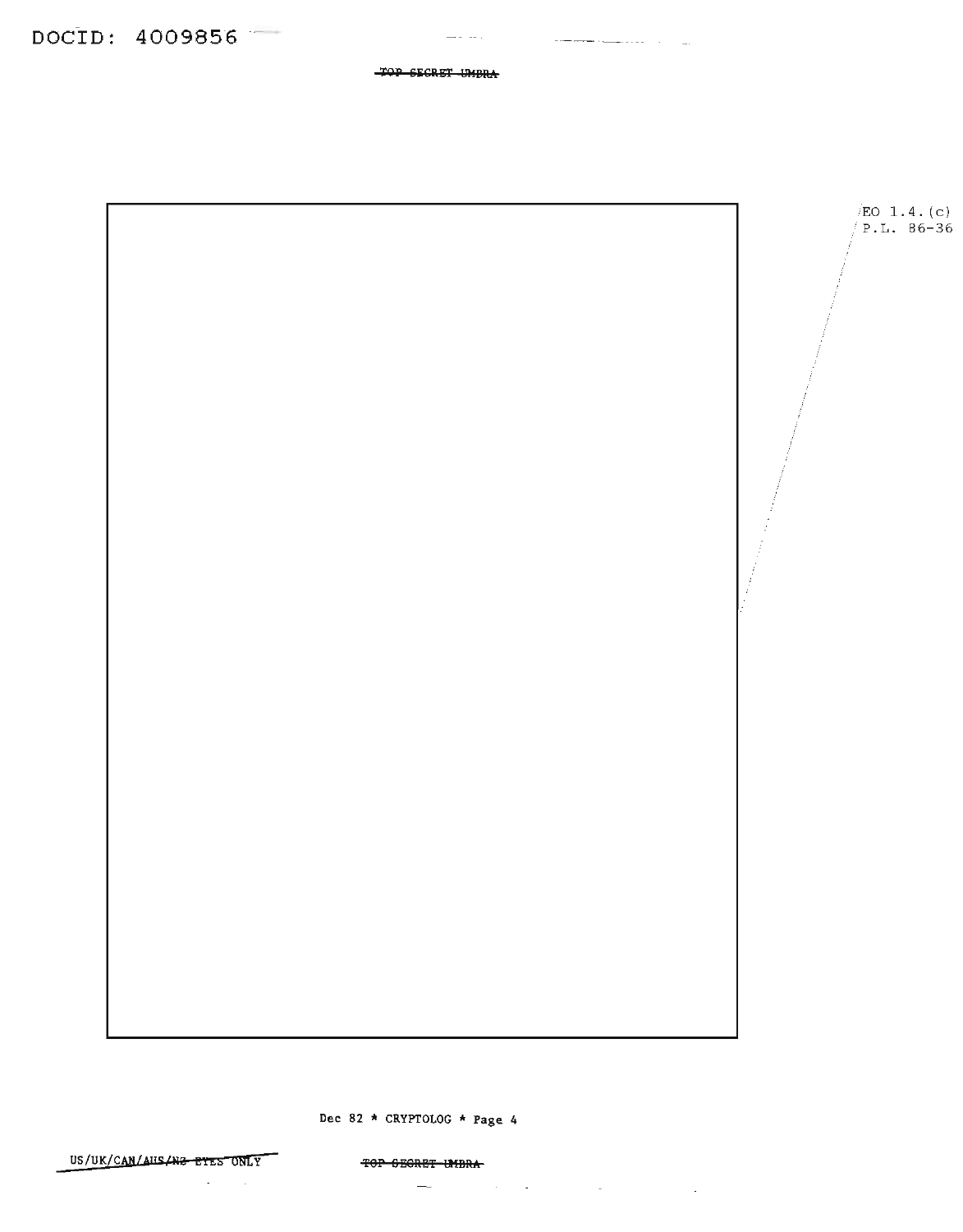TOP SECRET UMBRA

 $\frac{1}{2} \frac{1}{2} \frac{1}{2} \frac{1}{2} \frac{1}{2} \frac{1}{2} \frac{1}{2} \frac{1}{2} \frac{1}{2} \frac{1}{2} \frac{1}{2} \frac{1}{2} \frac{1}{2} \frac{1}{2} \frac{1}{2} \frac{1}{2} \frac{1}{2} \frac{1}{2} \frac{1}{2} \frac{1}{2} \frac{1}{2} \frac{1}{2} \frac{1}{2} \frac{1}{2} \frac{1}{2} \frac{1}{2} \frac{1}{2} \frac{1}{2} \frac{1}{2} \frac{1}{2} \frac{1}{2} \frac{$ 

المستحدث المستنهين والمستنصب



Dec 82 \* CRYPTOLOG \* Page 4

US/UK/CAN/AUS/N2 EYES ONLY

TOP GEGRET UMBRA

 $\mathcal{A}^{\text{max}}_{\text{max}}$  $\overline{\phantom{a}}$  $\mathcal{O}(N^2)$  . We can consider the constant  $\mathcal{O}(N^2)$  , where  $\mathcal{O}(N^2)$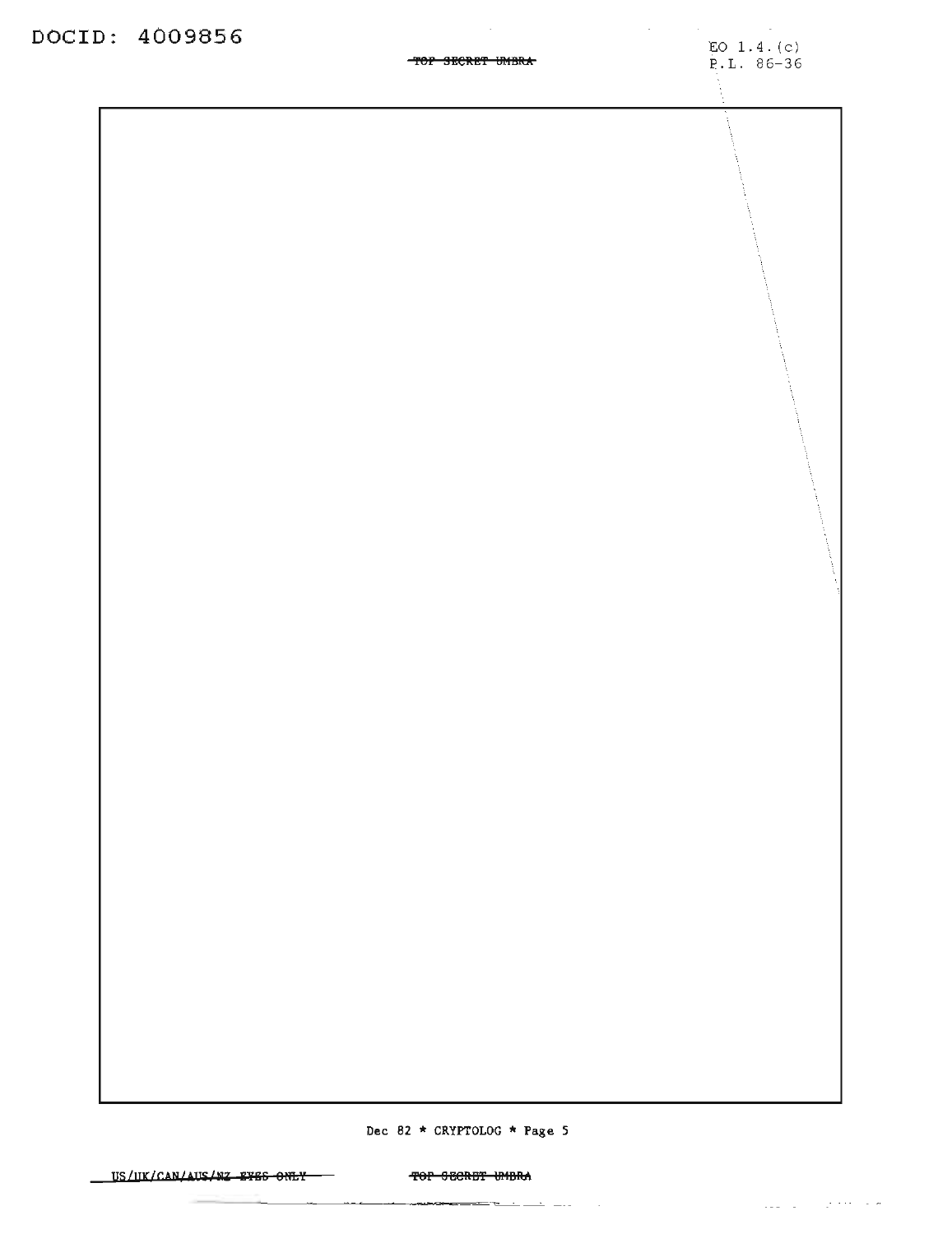### 'fef SBeRB'f U1IBR\*

 $\sim$ 

Dec 82 \* CRYPTOLOG \* Page 5

US/UK/CAN/AUS/WZ EYES ONLY TO THE SECRET UMBRA

 $\cdots$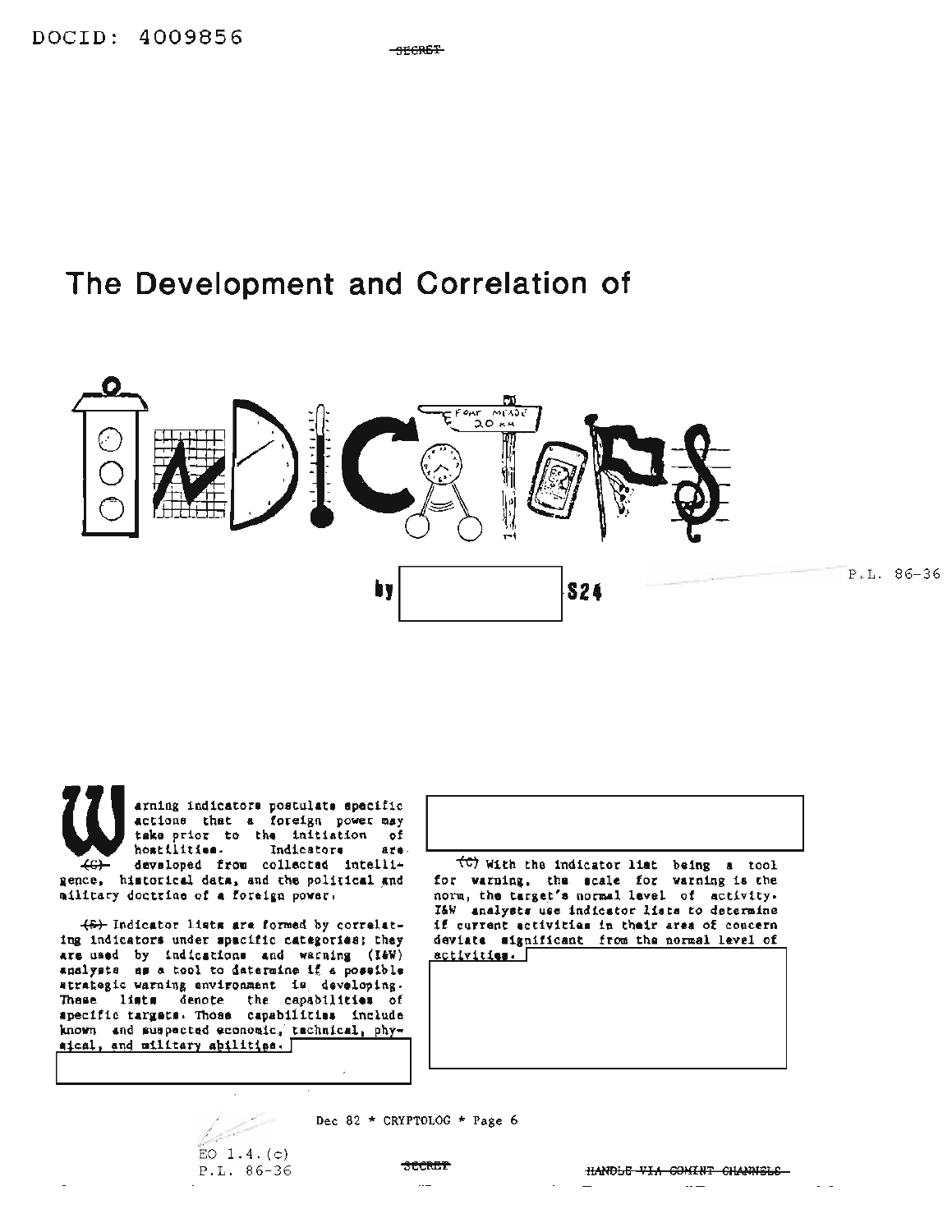$-$ <del>THORET</del>

## The Development and Correlation of



arning indicators postulate specific<br>actions that a foreign power may take prior to the initiation of hostilities. Indicators  $are.$ developed from collected intelli- $\overline{4G}$ gence, historical data, and the political and ailitary doctrine of a foreign power.

(6) Indicator lists are formed by correlating indicators under spacific categories; they are used by indications and warning (I&W) analysts as a tool to datermine if a possible atrategic warning environment is developing. These lists denote the capabilities of apecific targets. Those capabilities include known and suspected economic, technical, physical, and military abilities. [





Dec 82 \* CRYPTOLOG \* Page 6

**SECRET**  $\ddotsc$ 

HANDLE VIA COMINT CHANNELS  $\cdots$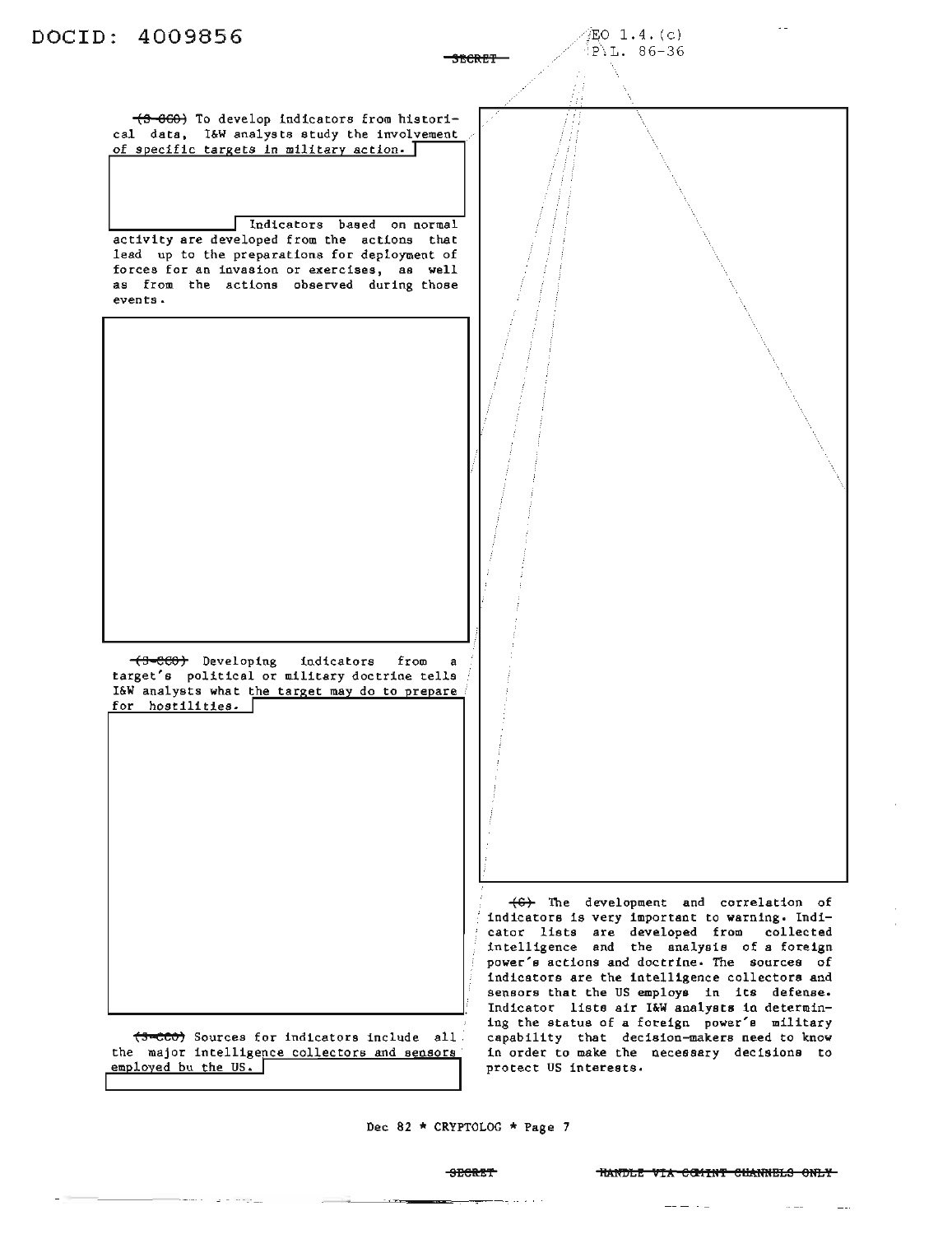

(3-ccc) Sources for indicators include all cator lists are developed from collected intelligence and the analysis of a foreign power's actions and doctrine. The sources of indicators are the intelligence collectors and sensors that the US employs in its defense. Indicator lists air I&W analysts in determining the status of a foreign power's military capability that decision-makers need to know in order to make the necessary decisions to protect US interests.

Dec 82 \* CRYPTOLOG \* Page 7

the major intelligence collectors and sensors employed bu the US.

### SECRET **111 THARDLE VIA COMINT CHANNELS ONLY**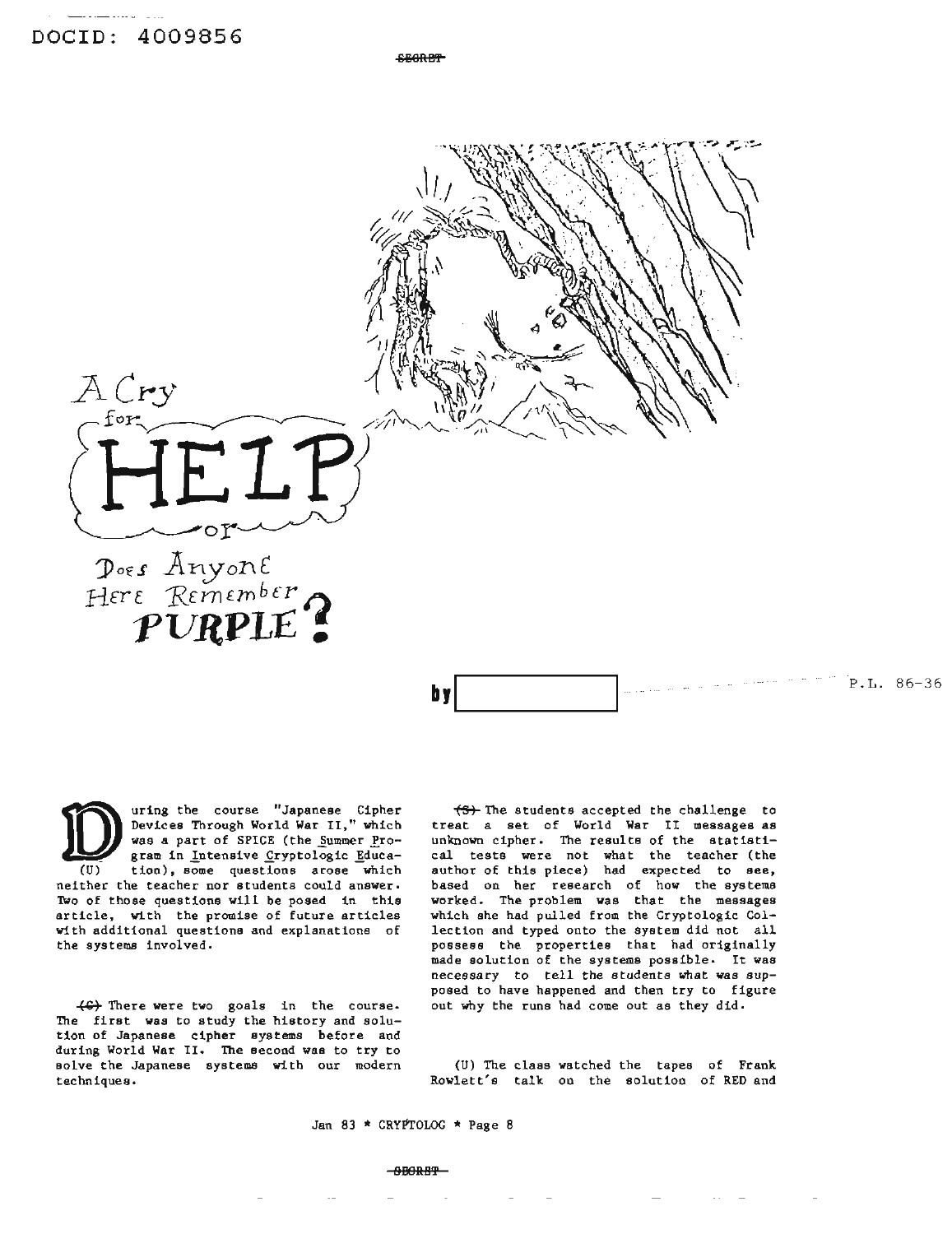A Cry for

**SEGRET** 

## Poes Anyone<br>Here Remember

≁๐∑

uring the course "Japanese Cipher Devices Through World War II," which was a part of SPICE (the Summer Program in Intensive Cryptologic Education), some questions arose which neither the teacher nor students could answer. Two of those questions will be posed in this article, with the promise of future articles with additional questions and explanations of the systems involved.

(G) There were two goals in the course. The first was to study the history and solution of Japanese cipher systems before and during World War II. The second was to try to solve the Japanese systems with our modern techniques.

(S) The students accepted the challenge to treat a set of World War II messages as unknown cipher. The results of the statistical tests were not what the teacher (the author of this piece) had expected to see, based on her research of how the systems worked. The problem was that the messages which she had pulled from the Cryptologic Collection and typed onto the system did not all possess the properties that had originally made solution of the systems possible. It was necessary to tell the students what was supposed to have happened and then try to figure out why the runs had come out as they did.

 $P.L. 86-36$ 

(U) The class watched the tapes of Frank Rowlett's talk on the solution of RED and

Jan 83 \* CRYPTOLOG \* Page 8

b y

### $-9BORRP-$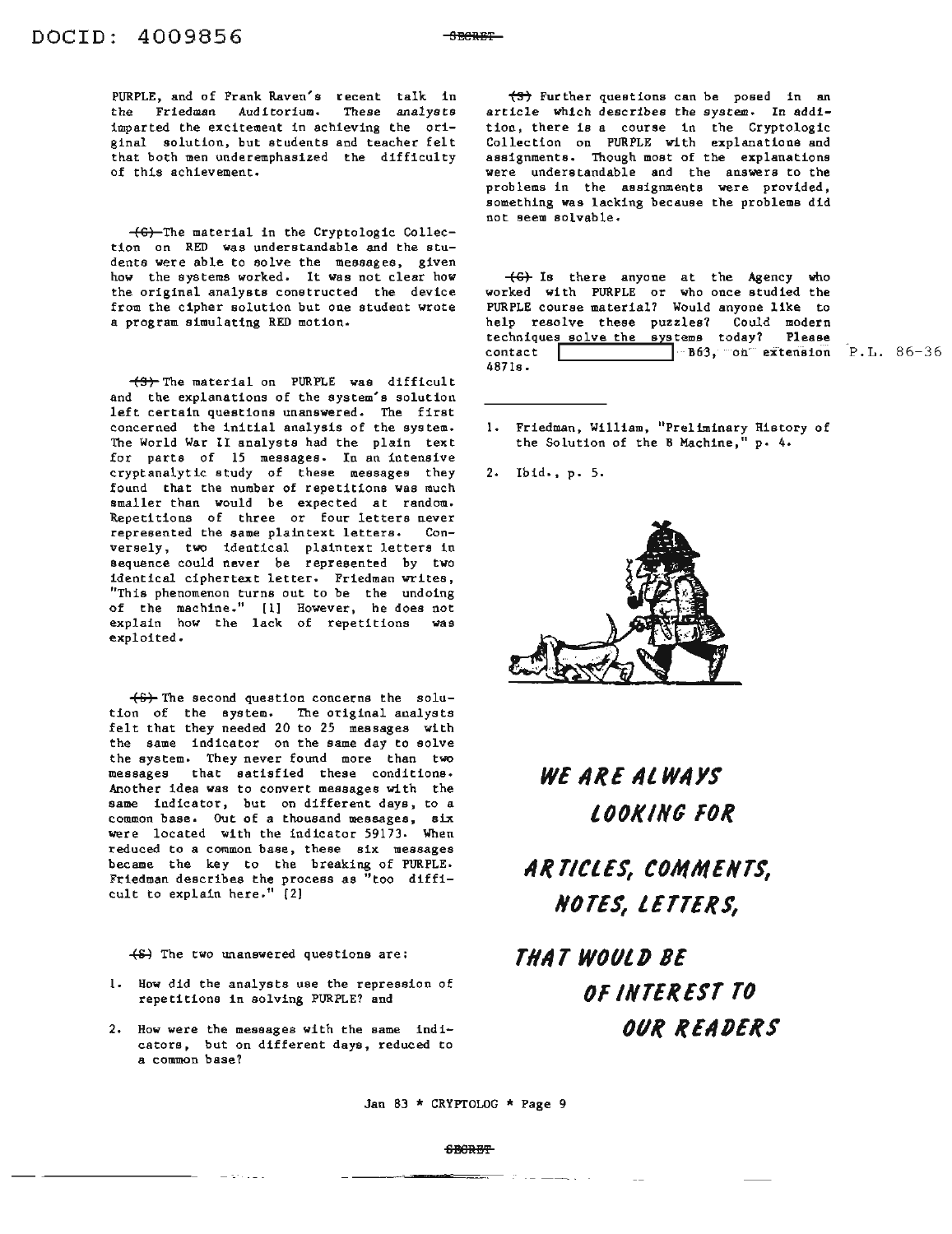PURPLE, and of Frank Raven's recent talk in the Friedman Auditorium. These analysts imparted the excitement in achieving the original solution, but students and teacher felt that both men underemphasized the difficulty of this achievement.

~The material in the Cryptologic Collection on RED was understandable and the students were able to solve the messages, given how the systems worked. It was not clear how the original analysts constructed the device from the cipher solution but one student wrote a program simulating RED motion.

 $\leftarrow$  The material on PURPLE was difficult and the explanations of the system's solution left certain questions unanswered. The first concerned the initial analysis of the system. The World War II analysts had the plain text for parts of 15 messages. In an intensive cryptanalytic study of these messages they found that the number of repetitions was much smaller than would be expected at random. Repetitions of three or four letters never represented the same plaintext letters. Conversely, two identical plaintext letters in sequence could never be represented by two identical ciphertext letter. Friedman writes, "This phenomenon turns out to be the undoing of the machine." [1) However, he does not explain how the lack of repetitions was exploited.

 $+6+$  The second question concerns the solution of the system. The original analysts felt that they needed 20 to 25 messages with the same indicator on the same day to solve the system. They never found more than two messages that satisfied these conditions. Another idea was to convert messages with the same indicator, but on different days, to a common base. Out of a thousand messages, six were located with the indicator 59173. When reduced to a common base, these six messages became the key to the breaking of PURPLE. Friedman describes the process as "too difficult to explain here." (2)

 $(5)$  The two unanswered questions are:

- 1. How did the analysts use the repression of repetitions in solving PURPLE? and
- 2. How were the messages with the same indicators, but on different days, reduced to a common base?

 $\left(\frac{4}{3}\right)$  Further questions can be posed in an article which describes the system. In addition, there is a course in the Cryptologic Collection on PURPLE with explanations and assignments. Though most of the explanations were understandable and the answers to the problems in the assignments were provided, something was lacking because the problems did not seem solvable.

Is there anyone at the Agency who worked with PURPLE or who once studied the PURPLE course material? Would anyone like to help resolve these puzzles? Could modern techniques solve the systems today? Please contact **I I Illies** B63, on extension P.L. 86-36 4871s.

- 1. Friedman, William, "Preliminary History of the Solution of the B Machine,<sup>"</sup> p. 4.
- 2. Ib id., p. 5.



## **WE IIRE ilL WIIYS LOOKING FOR**

**IIR TICLES, COMMENTS, NOTES, LETTERS,**

**THIIT WOULD 8E OF INTEREST TO OUR REIIDERS**

Jan 83 \* CRYPTOLOG \* Page 9

### SBeRB'l'

 $\mathcal{P}^{\mathcal{A}}$  , and an analysis of  $\mathcal{P}^{\mathcal{A}}$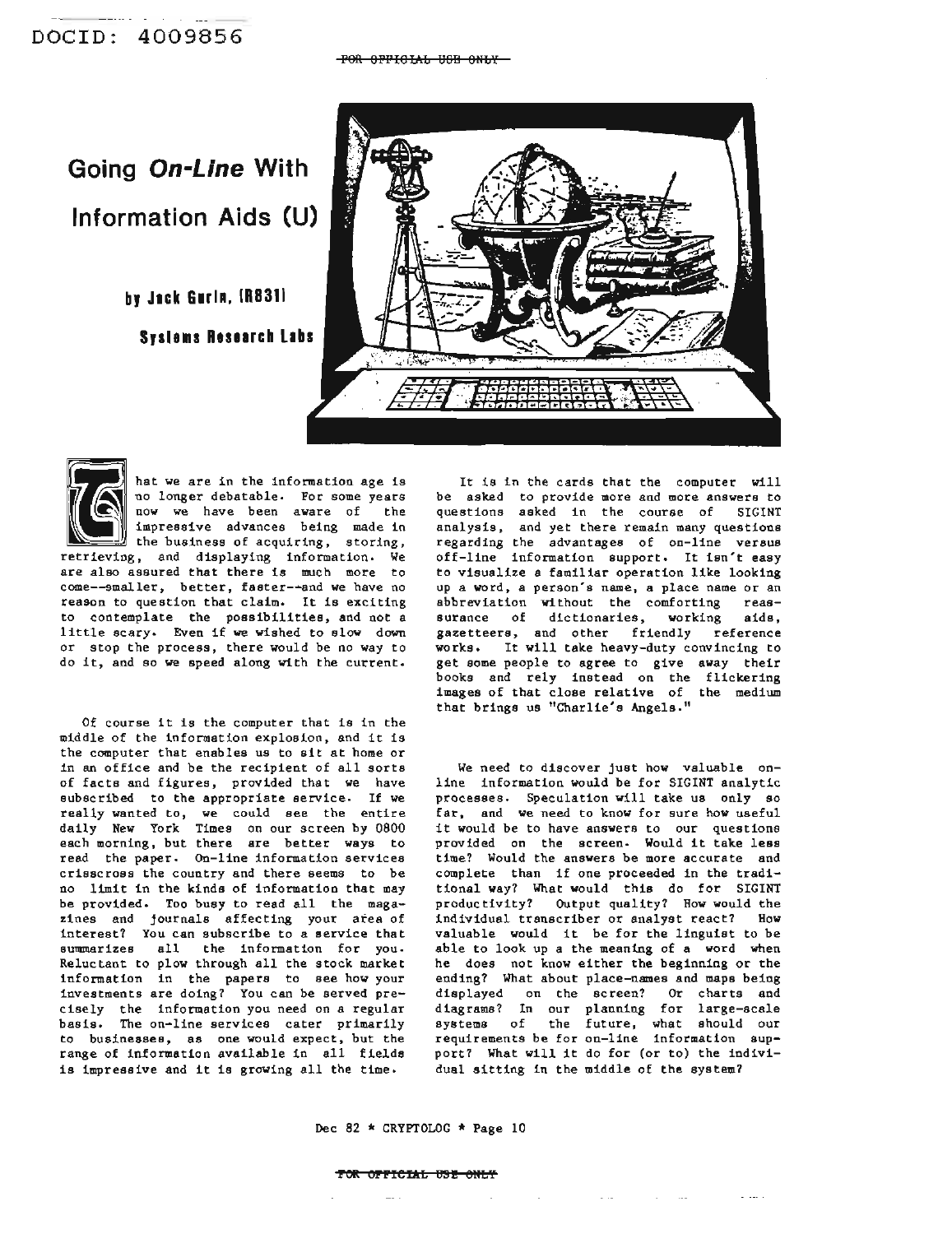## **Going On-Line With Information Aids (U)**

**by Jack Gnln, IR8311 Syslems Research Labs** 





hat we are in the information age is no longer debatable. For some years now we have been aware of the impressive advances being made in the business of acquiring, storing, retrieving, and displaying information. We

are also assured that there is much more to come--smaller, better, faster-·and we have no reason to question that claim. It is exciting to contemplate the possibilities, and not a little scary. Even if we wished to slow down or stop the process, there would be no way to do it, and so we speed along with the current.

Of course it is the computer that is in the middle of the information explosion, and it is the computer that enables us to sit at home or in an office and be the recipient of all sorts of facts and figures, provided that we have subscribed to the appropriate service. If we really wanted to, we could see the entire daily New York Times on our screen by 0800 each morning, but there are better ways to read the paper. On-line information services crisscross the country and there seems to be no limit in the kinds of information that may be provided. Too busy to read all the magazines and journals affecting your area of interest? You can subscribe to a service that summarizes all the information for you. Reluctant to plow through all the stock market information in the papers to see how your investments are doing? You can be served precisely the information you need on a regular basis. The on-line services cater primarily to businesses, as one would expect, but the range of information available in all fields is impressive and it is growing all the time.

It is in the cards that the computer will be asked to provide more and more answers to questions asked in the course of SIGINT analysis, and yet there remain many questions regarding the advantages of on-line versus off-line information support. It isn't easy to visualize a familiar operation like looking up a word, a person's name, a place name or an abbreviation without the comforting reassurance of dictionaries, working aids, gazetteers, and other friendly reference works. It will take heavy-duty convincing to get some people to agree to give away their books and rely instead on the flickering images of that close relative of the medium that brings us "Charlie's Angels."

We need to discover just how valuable online information would be for SIGINT analytic processes. Speculation will take us only so far, and we need to know for sure how useful it would be to have answers to our questions provided on the screen. Would it take less time? Would the answers be more accurate and complete than if one proceeded in the traditional way? What would this do for SIGINT productivity? Output quality? How would the individual transcriber or analyst react? How valuable would it be for the linguist to be able to look up a the meaning of a word when he does not know either the beginning or the ending? What about place-names and maps being displayed on the screen? Or charts and diagrams? In our planning for large-scale systems of the future, what should our requirements be for on-line information support? What will it do for (or to) the individual sitting in the middle of the system?

Dec <sup>82</sup> \* CRYPTOLOG \* Page <sup>10</sup>

### **POll: OPPfeI1r:f;** US! SHU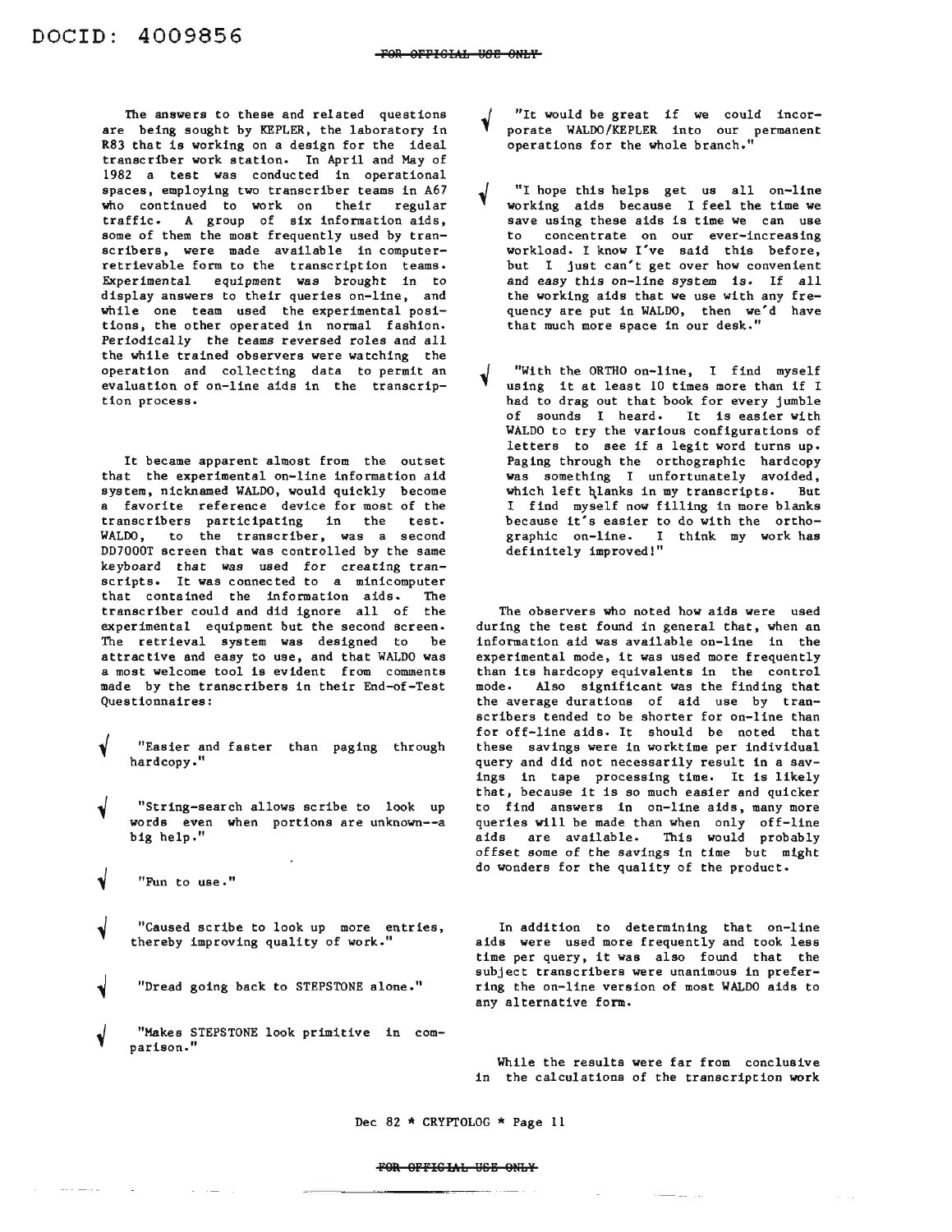The answers to these and related questions are being sought by KEPLER, the laboratory in R83 that is working on a design for the ideal transcriber work station. In April and May of 1982 a test was conducted in operational spaces, employing two transcriber teams in A67 who continued to work on their regular traffic. A group of six information aids, some of them the most frequently used by transcribers, were made available in computerretrievable form to the transcription teams. Experimental equipment was brought in to display answers to their queries on-line, and while one team used the experimental positions, the other operated in normal fashion. Periodically the teams reversed roles and all the while trained observers were watching the operation and collecting data to permit an evaluation of on-line aids in the transcription process.

It became apparent almost from the outset that the experimental on-line information aid system, nicknamed WALDO, would quickly become a favorite reference device for most of the transcribers participating in the test. WALDO, to the transcriber, was a second DD7000T screen that was controlled by the same keyboard that was used for creating transcripts. It was connected to a minicomputer that contained the information aids. The transcriber could and did ignore all of the experimental equipment but the second screen. The retrieval system was designed to be attractive and easy to use, and that WALDO was a most welcome tool is evident from comments made by the transcribers in their End-of-Test Questionnaires:

- "Easier and faster than paging through hardcopy."
- "String-search allows scribe to look up words even when portions are unknown--a big help."
- "Fun to use."
- "Caused scribe to look up more entries, thereby improving quality of work."
- "Dread going back to STEPSTONE alone."
- "Makes STEPSTONE look primitive in comparison."
- "It would be great if we could incorporate WALDO/KEPLER into our permanent operations for the whole branch."
- "I hope this helps get us all on-line working aids because I feel the time we save using these aids is time we can use to concentrate on our ever-increasing workload. I know I've said this before, but I just can't get over how convenient and easy this on-line system is. If all the working aids that we use with any frequency are put in WALDO, then we'd have that much more space in our desk."
- "With the ORTHO on-line, I find myself using it at least <sup>10</sup> times more than if <sup>I</sup> had to drag out that book for every jumble of sounds I heard. It is easier with WALDO to try the various configurations of letters to see if a legit word turns up. Paging through the orthographic hardcopy was something I unfortunately avoided, which left hlanks in my transcripts. But I find myself now filling in more blanks because it's easier to do with the orthographic on-line. I think my work has definitely improved!"

The observers who noted how aids were used during the test found in general that, when an information aid was available on-line in the experimental mode, it was used more frequently than its hardcopy equivalents in the control mode. Also significant was the finding that the average durations of aid use by transcribers tended to be shorter for on-line than for off-line aids. It should be noted that these savings were in worktime per individual query and did not necessarily result in a savings in tape processing time. It is likely that, because it is so much easier and quicker to find answers in on-line aids, many more queries will be made than when only off-line aids are available. This would probably offset some of the savings in time but might do wonders for the quality of the product.

In addition to determining that on-line aids were used more frequently and took less time per query, it was also found that the subject transcribers were unanimous in preferring the on-line version of most WALDO aids to any alternative form.

While the results were far from conclusive in the calculations of the transcription work

Dec 82 \* CRYPTOLOG \* Page 11

### FOR OFFICIAL USE ONLY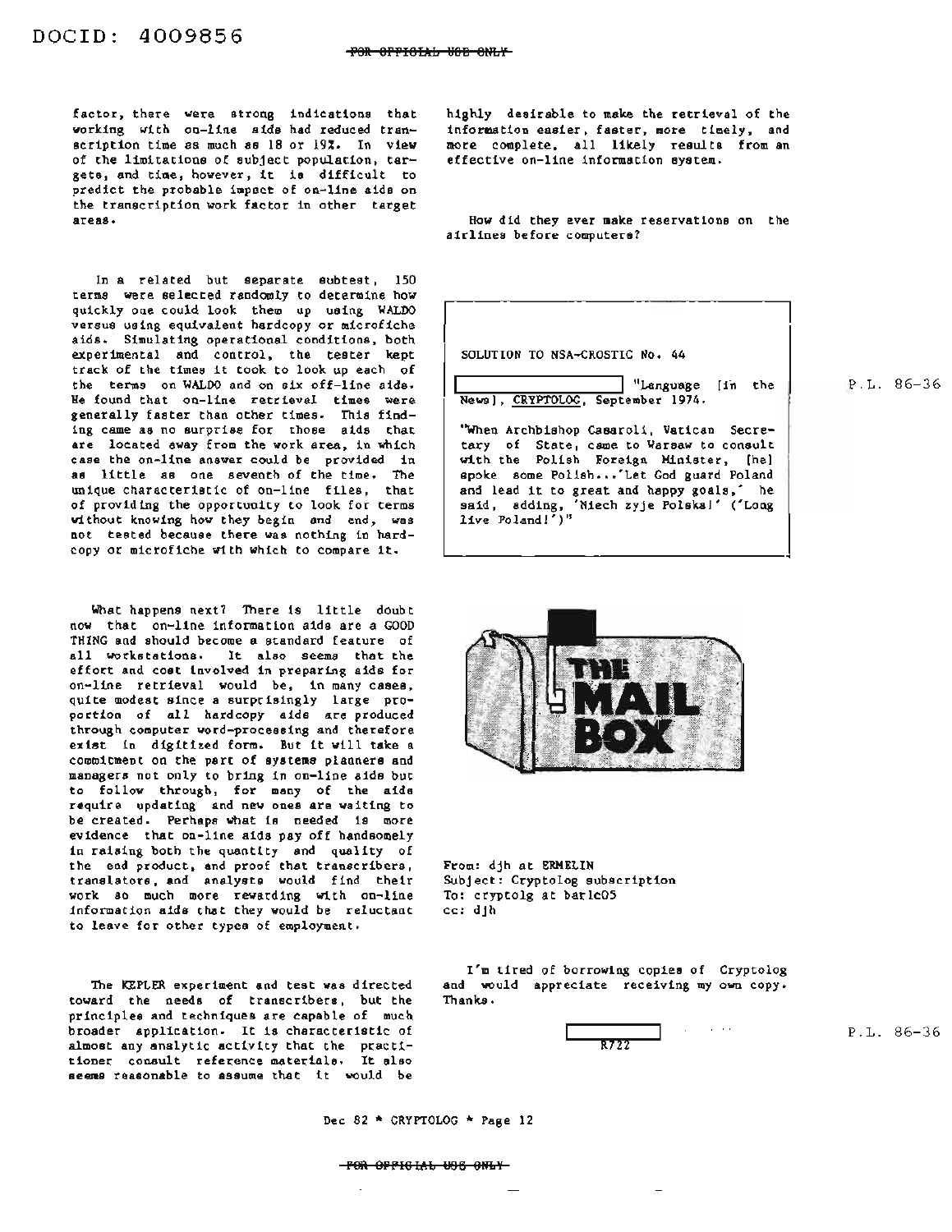factor, there were strong indications that working with on-line aids had reduced transcription time as much as 18 or 19%. In view of the limitations of subject population, targets, and time, however, it is difficult to predict the probable impact of on-line aids on the transcription work factor in other target areas.

In a related but separate subtest, 150 terms were selected randomly to determine how quickly one could look them up using WALDO versus using equivalent hardcopy or microfiche aids. Simulating operational conditions, both experimental and control, the tester kept track of the times it took to look up each of the terms on WALDO and on six off-line aids. He found that on-line retrieval times were generally faster than other times. This finding came as no surprise for those aids that are located away from the work area, in which case the on-line answer could be provided in as little as one seventh of the time. The unique characteristic of on-line files, that of providing the opportunity to look for terms without knowing how they begin and end, was not tested because there was nothing in hardcopy or microfiche with which to compare it.

What happens next? There is little doubt now that on-line information aids are a GOOD THING and should become a standard feature of all workstations. It also seems that the effort and cost involved in preparing aids for on-line retrieval would be, in many cases, quite modest since a surprisingly large proportion of all hardcopy aids are produced through computer word-processing and therefore exist in digitized form. But it will take <sup>a</sup> commitment on the part of systems planners and managers not only to bring in on-line aids but to follow through, for many of the aids require updating and new ones are waiting to be created. Perhaps what is needed is more evidence that on-line aids payoff handsomely in raising both the quantity and quality of the end product, and proof that transcribers, translators, and analysts would find their work so much more rewarding with on-line information aids that they would be reluctant to leave for other types of employment.

The KEPLER experiment and test was directed toward the needs of transcribers, but the principles and techniques are capable of much broader application. It is characteristic of almost any analytic activity that the practitioner consult reference materials. It also seems reasonable to assume that it would be highly desirable to make the retrieval of the information easier, faster, more timely, and more complete, all likely results from an effective on-line information system.

How did they ever make reservations on the airlines before computers?

SOLUTION TO NSA-CROSTIC No. 44 "Language [in the Newsl. CRYPTOLOG. September 1914. "When Archbishop Casaroli, Vatican Secretary of State, came to Warsaw to consult with the Polish Foreign Minister, [hel spoke some Polish ... Let God guard Poland and lead it to great and happy goals.' he said, adding, 'Niech zyje Polska!' ('Long live Poland!')"

'--------------------~

P.L. 86-36



From: djh at ERHELIN Subject: Cryptolog subscription To: cryptolg at bar1c05 cc: djh

I'm tired of borrowing copies of Cryptolog and would appreciate receiving my own copy. Thanks.



P.L. 86-36

Dec <sup>82</sup> \* CRYPTOLOG \* Page <sup>12</sup>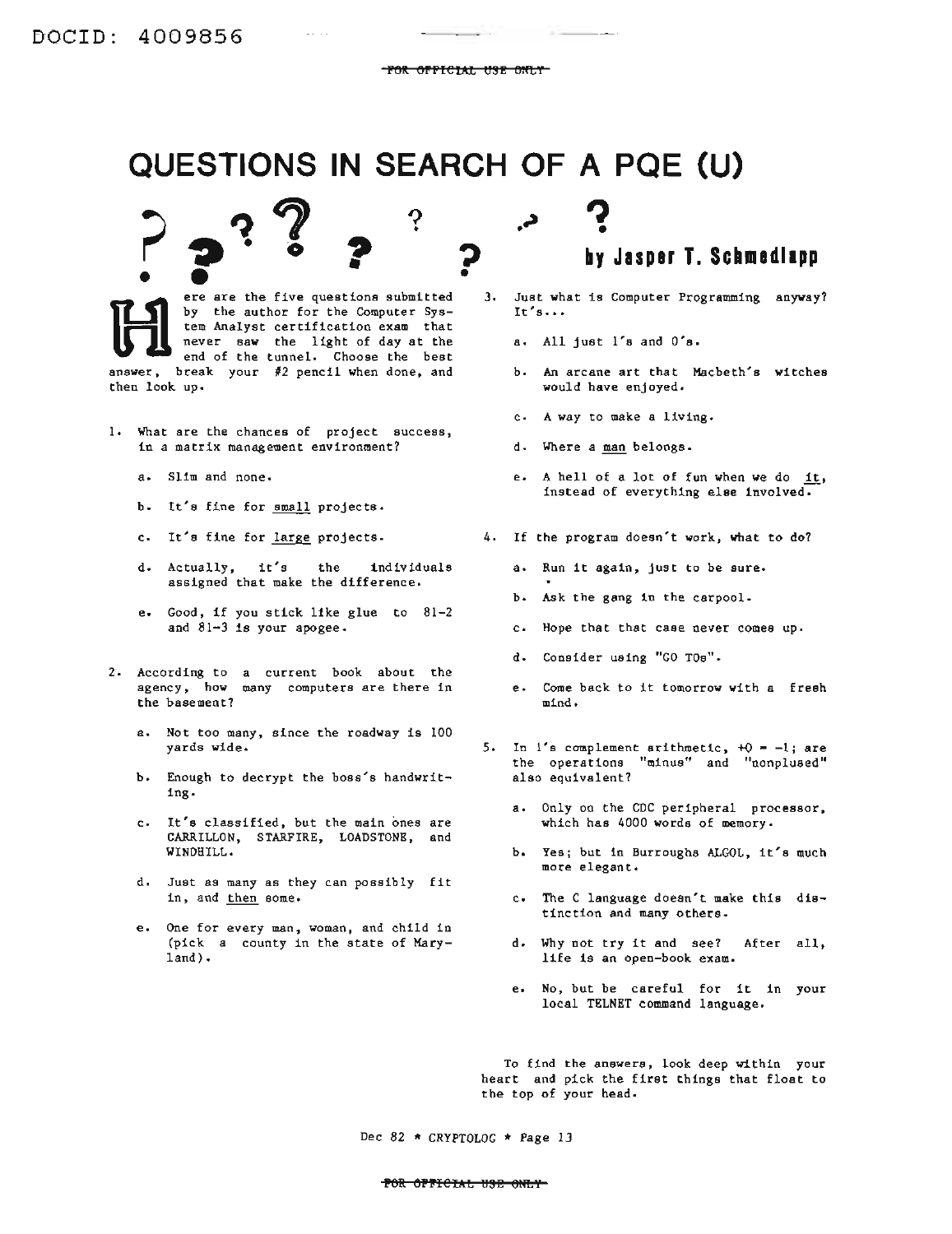**P** 

# **QUESTIONS IN SEARCH OF A PQE (U)**<br> **P 2** <sup>2</sup> 2 2 **2** by Jasper T. Sch

 $2$   $\cdot$   $\cdot$  ?

ere are the five questions submitted • ere are the five questions submitted<br>by the author for the Computer Sys-<br>tem Analyst certification exam that<br>never saw the light of day at the<br>end of the tunnel. Choose the best by the author for the Computer System Analyst certification exam that never saw the light of day at the end of the tunnel. Choose the best answer, break your #2 pencil when done, and then look up.

 $\frac{1}{2}$ 

 $\omega_{\rm{max}}$  and

- 1. What are the chances of project success, in a matrix management environment?
	- a. Slim and none.
	- b. It's fine for small projects.
	-
	- d. Actually, it's the individuals assigned that make the difference.
	- e. Good, if you stick like glue to 81-2 and 81-3 is your apogee.
- 2. According to a current book about the agency, how many computers are there in the basement? many computers are there in e. Come back to it tomorrow with <sup>a</sup> fresh
	- a. Not too many, since the roadway is 100 yards wide.
	- b. Enough to decrypt the boss's handwriting.
	- c. It's classified, but the main ones are CARRILLON, STARFIRE, LOADSTONE, and WINDHILL.
	- d. Just as many as they can possibly fit in, and then some.
	- e. One for every man, woman, and child in (pick a county in the state of Maryland) •
- **by Jasper T. Schmedllpp** •
- 3. Just what is Computer Programming anyway? It's•••
	- a. All just l's and O's.
	- b. An arcane art that Macbeth's witches would have enjoyed.
	- c. A way to make a liVing.
	- d. Where a man belongs.
	- e. A hell of a lot of fun when we do  $1t$ , instead of everything else involved.
- c. It's fine for large projects. 4. If the program doesn't work, what to do?
	- a. Run it again, just to be sure.
	- b. Ask the gang in the carpool.
	- c. Hope that that case never comes up.
	- d. Consider using "GO TOs".
	- mind.
	- 5. In  $1's$  complement arithmetic,  $+0 = -1;$  are the operations "minus" and "nonplused" also equivalent?
		- a. Only on the CDC peripheral processor, which has 4000 words of memory.
		- b. Yes; but in Burroughs ALGOL, it's much more elegant.
		- c. The C language doesn't make this distinction and many others.
		- d. Why not try it and see? After all, life is an open-book exam.
		- e. No, but be careful for it in your local TELNET command language.

To find the answers, look deep within your heart and pick the first things that float to the top of your head.

Dec 82 \* CRYPTOLOG \* Page 13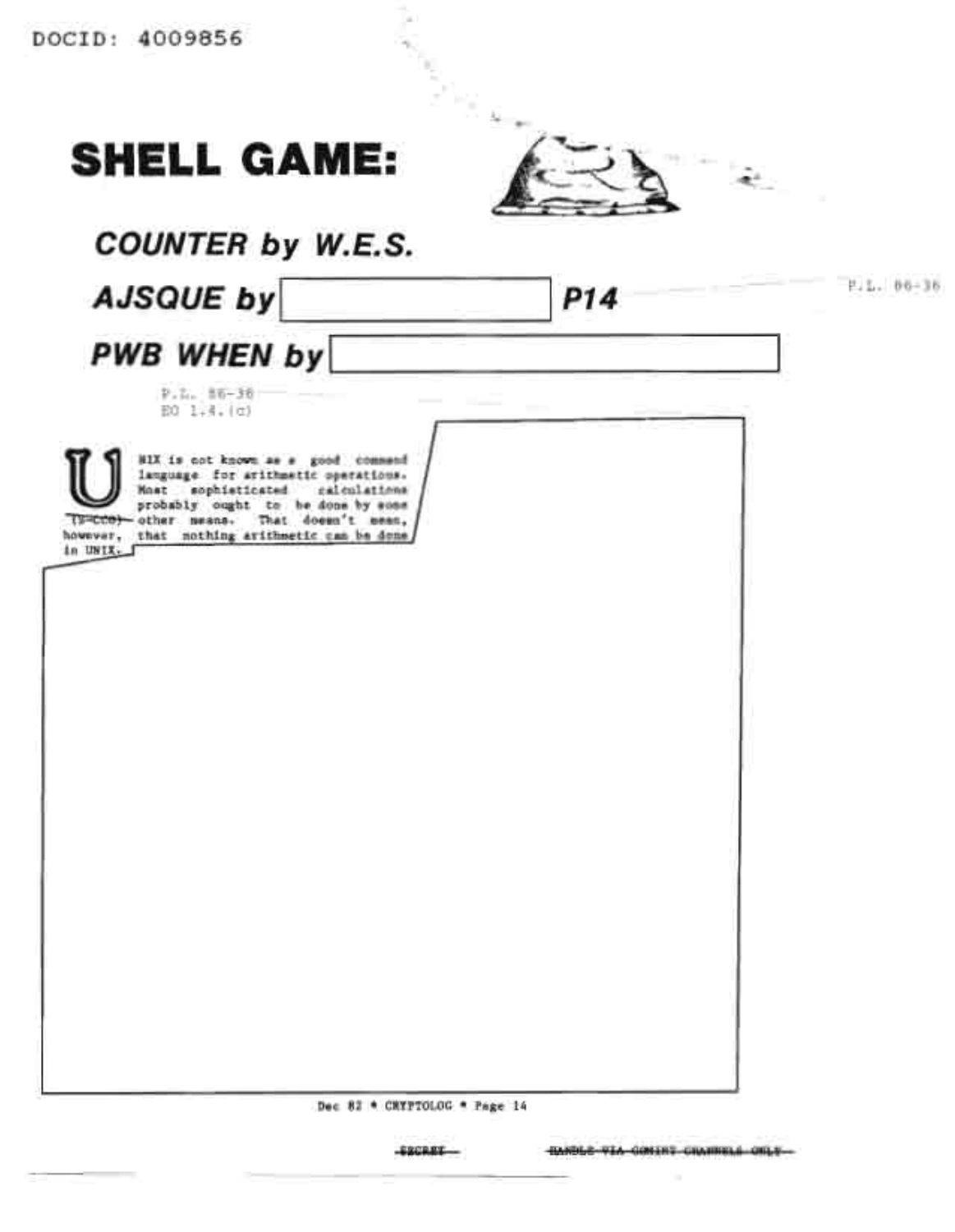| <b>SHELL GAME:</b>                                                                                                                                                                                                                                          |     |               |
|-------------------------------------------------------------------------------------------------------------------------------------------------------------------------------------------------------------------------------------------------------------|-----|---------------|
| COUNTER by W.E.S.                                                                                                                                                                                                                                           |     |               |
| <b>AJSQUE by</b>                                                                                                                                                                                                                                            | P14 | $1.1.06 - 36$ |
| PWB WHEN by                                                                                                                                                                                                                                                 |     |               |
| $P.2.15 - 36$<br>E0 1.4. (c)                                                                                                                                                                                                                                |     |               |
| BIX is not known as a good commend<br>language for arithmetto operations.<br>Most sophisticated<br>calculations<br>probably ought to be done by some<br>TSHCCO) other means. That doesn't mean,<br>however, that nothing arithmetic can be done<br>in UNIX. |     |               |
|                                                                                                                                                                                                                                                             |     |               |
|                                                                                                                                                                                                                                                             |     |               |
|                                                                                                                                                                                                                                                             |     |               |
|                                                                                                                                                                                                                                                             |     |               |
|                                                                                                                                                                                                                                                             |     |               |
|                                                                                                                                                                                                                                                             |     |               |
|                                                                                                                                                                                                                                                             |     |               |
|                                                                                                                                                                                                                                                             |     |               |
| Dec 82 * CHYPTOLOG * Page 14                                                                                                                                                                                                                                |     |               |
|                                                                                                                                                                                                                                                             |     |               |

ł,

**ESCRET**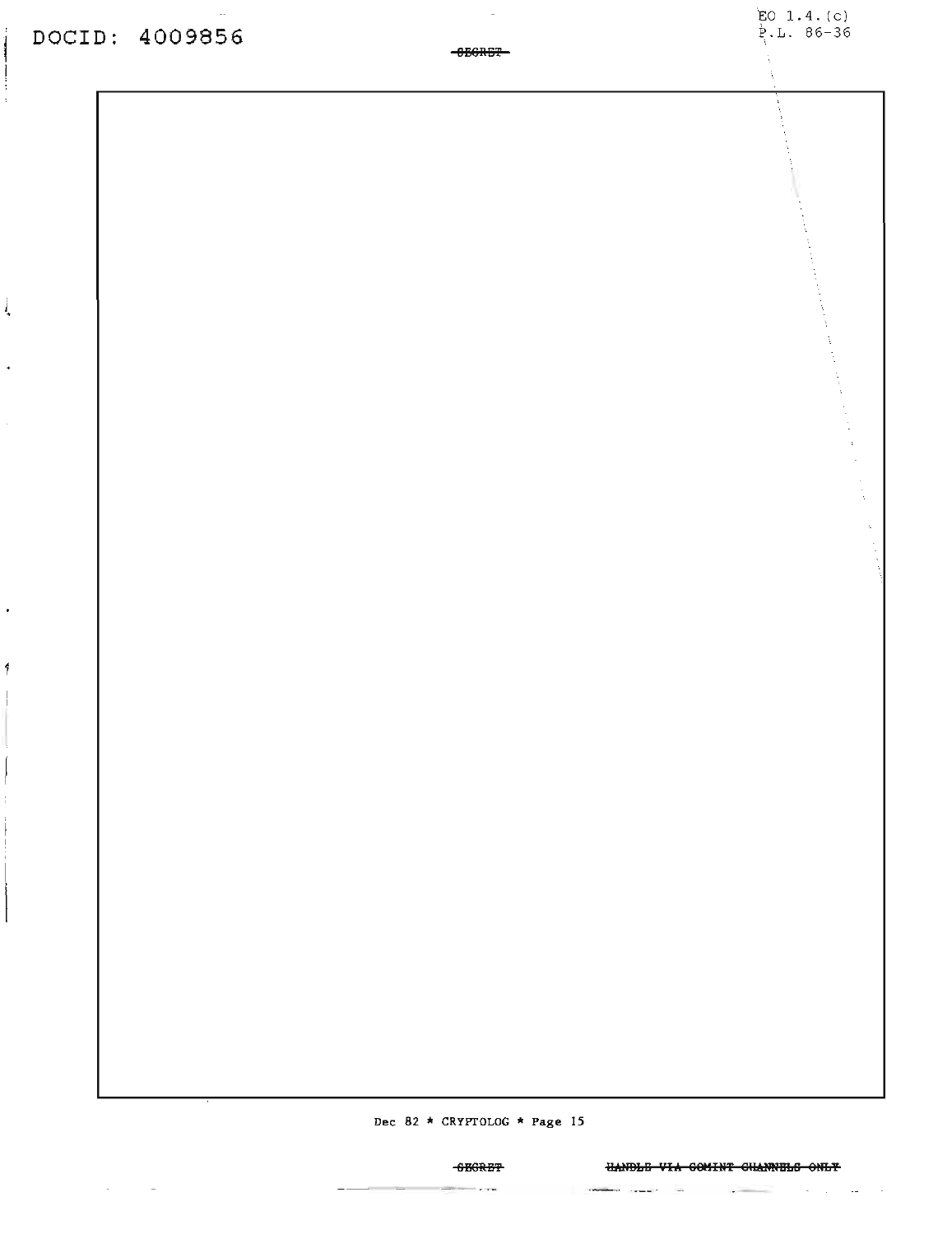ĺ

Ļ

 $\bullet$ 

4

 $\sim$ 

**Dec 82 \* CRYPTOLOG \* Page <sup>15</sup>**

### HANDLE VIA COMINT CHANNELS ONLY

 $\mathbb{R}^2$ 

**BISSR-ISI**  $\sim$ 

 $-$ ---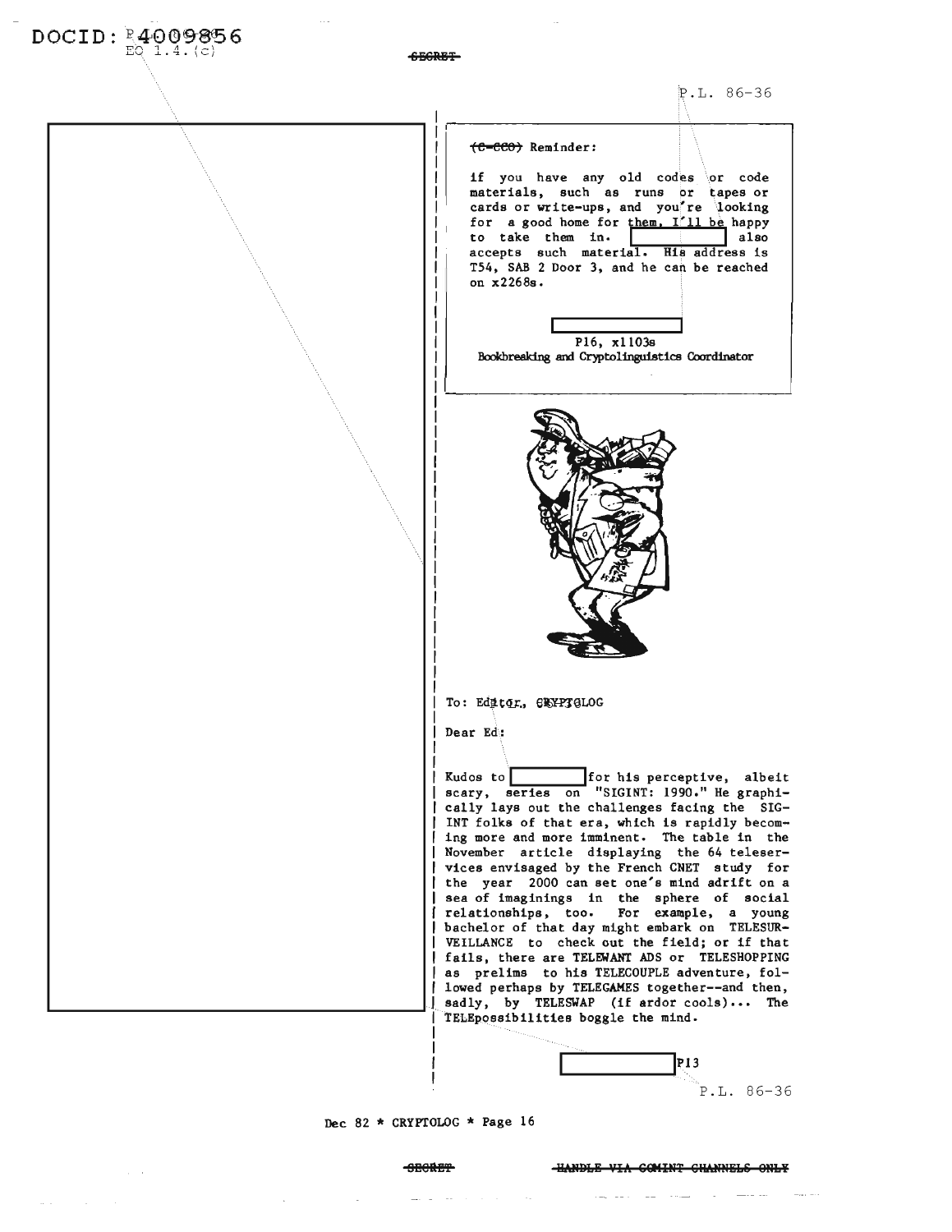| $DOCID: 24009856EQ$ |                                                                                                 |
|---------------------|-------------------------------------------------------------------------------------------------|
|                     |                                                                                                 |
|                     | $P.I., 86-36$                                                                                   |
|                     |                                                                                                 |
|                     | (C-CCO) Reminder:                                                                               |
|                     | if you have any old codes or code                                                               |
|                     | materials, such as runs or tapes or<br>cards or write-ups, and you're looking                   |
|                     | for a good home for them. I'll be happy<br>to take them in.<br>also                             |
|                     | accepts such material. His address is<br>T54, SAB 2 Door 3, and he can be reached               |
|                     | on x2268s.                                                                                      |
|                     |                                                                                                 |
|                     | P16, x1103s                                                                                     |
|                     | Bookbreaking and Cryptolinguistics Coordinator                                                  |
|                     |                                                                                                 |
|                     |                                                                                                 |
|                     |                                                                                                 |
|                     |                                                                                                 |
|                     |                                                                                                 |
|                     |                                                                                                 |
|                     |                                                                                                 |
|                     |                                                                                                 |
|                     |                                                                                                 |
|                     |                                                                                                 |
|                     |                                                                                                 |
|                     |                                                                                                 |
|                     | To: Editor, GEYPTGLOG                                                                           |
|                     | Dear Ed:                                                                                        |
|                     | for his perceptive, albeit<br>Kudos to                                                          |
|                     | scary, series on "SIGINT: 1990." He graphi-                                                     |
|                     | cally lays out the challenges facing the SIG-<br>INT folks of that era, which is rapidly becom- |
|                     | ing more and more imminent. The table in the<br>November article displaying the 64 teleser-     |
|                     | vices envisaged by the French CNET study for<br>the year 2000 can set one's mind adrift on a    |
|                     | sea of imaginings in the sphere of social                                                       |
|                     | relationships, too.<br>For example, a young<br>bachelor of that day might embark on TELESUR-    |
|                     | VEILLANCE to check out the field; or if that<br>fails, there are TELEWANT ADS or TELESHOPPING   |
|                     | as prelims to his TELECOUPLE adventure, fol-<br>lowed perhaps by TELEGAMES together--and then,  |
|                     | sadly, by TELESWAP (if ardor cools) The                                                         |
|                     | TELEpossibilities boggle the mind.                                                              |
|                     | P13                                                                                             |
|                     | $86 - 36$<br>DT.                                                                                |

 $\sim$ 

 $\begin{array}{c} \text{I} \\ \text{P.L.} \\ \end{array}$  86-36

## Dec 82 \* CRYPTOLOG \* Page 16

 $\Delta \sim 10^{11}$  km s  $^{-1}$ 

 $\sim 10^{-11}$ 

 $\mathcal{L}(\omega)$  is a set of  $\mathcal{L}(\omega)$  . We have

 $\mathcal{L}_{\text{max}}$  , where  $\mathcal{L}_{\text{max}}$ 

ومستعمل والمستعصف والمناب المستندر المستندر والمستحدث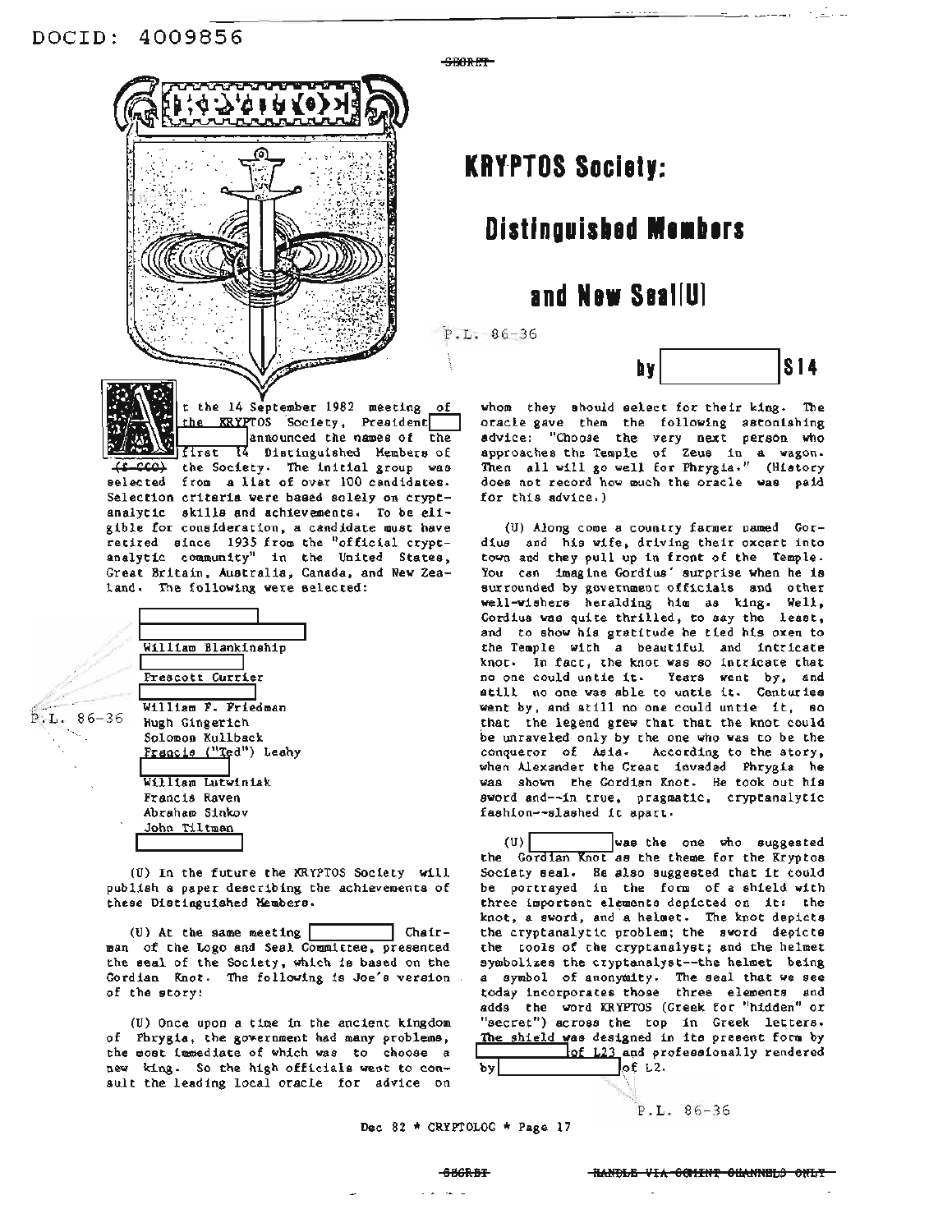

announced the names of the

first I4 Distinguished Members of (CCO) the Society. The initial group was selected from <sup>a</sup> list of over <sup>100</sup> candidates. Selection criteria were based solely on cryptanalytic skills and achievements. To be eligible for consideration, a candidate must have retired since 1935 from the "official cryptanalytic community" in the United States, Great Britain, Australia, Canada, and New Zea-

SBORET

## **KRYPTOS Socie'y:**

## **Distinguished Members**

## **Ind New Seal[UI**

 $P.L. 86-36$ 



whom they should select for their king. The oracle gave them the following astonishing advice: "Choose the very next person who approaches the Temple of Zeus in a wagon. Then all will go well for Phrygia." (History does not record how much the oracle was paid for this advice.)

(U) Along come a country farmer named Gordius and his wife, driving their oxcart into town and they pull up in front of the Temple. You can imagine Gordius' surprise when he is surrounded by government officials and other well-wishers heralding him as king. Well, Gordius was quite thrilled, to say the least. and to show his gratitude he tied his oxen to the Temple with a beautiful and intricate knot. In fact, the knot was so intricate that no one could untie it. Years went by, and still no one was able to untie it. Centuries went by, and still no one could untie it, so that the legend grew that that the knot could be unraveled only by the one who was to be the conqueror of Asia. According to the story, when Alexander the Great invaded Phrygia he was shown the Gordian Knot. He took out his sword and--in true, pragmatic, cryptanalytic fashion--slashed it apart.

(U)I Iwas the one who suggested the Gordian Knot as the theme for the Kryptos Society seal. He also suggested that it could be portrayed in the form of a shield with three important elements depicted on it: the knot, a sword, and a helmet. The knot depicts the cryptanalytic problem; the sword depicts the tools of the cryptanalyst; and the helmet symbolizes the cryptanalyst--the helmet being a symbol of anonymity. The seal that we see today incorporates those three elements and adds the word KRYFTOS (Greek for "hidden" or "secret") across the top in Greek letters. The shield was designed in its present form by<br>
of L23 and professionally rendered<br>
of L2.  $of L2.$ 

P.L. 86-36

 $P.L. 86-36$ 

William Blankinship **I I** Prescott Currier **I I** William F. Friedman Hugh Gingerich Solomon Kullback Francis ("Ted") Leahy **I III**<br>William Lutwiniak Francis Raven Abraham Sinkov John Tiltman

land. The following were selected:

(U) In the future the KRYPTOS Society will publish a paper describing the achievements of these Distinguished Members.

(U) At the same meeting  $[$  Chairman of the Logo and Seal Committee, presented the seal of the Society, which is based on the Gordian Knot. The following is Joe's version of the story:

(U) Once upon a time in the ancient kingdom of Phrygia, the government had many problems, the most immediate of which was to choose a new king. So the high officials went to consult the leading local oracle for advice on

Dec <sup>82</sup> \* CRYPTOLOG \* Page <sup>17</sup>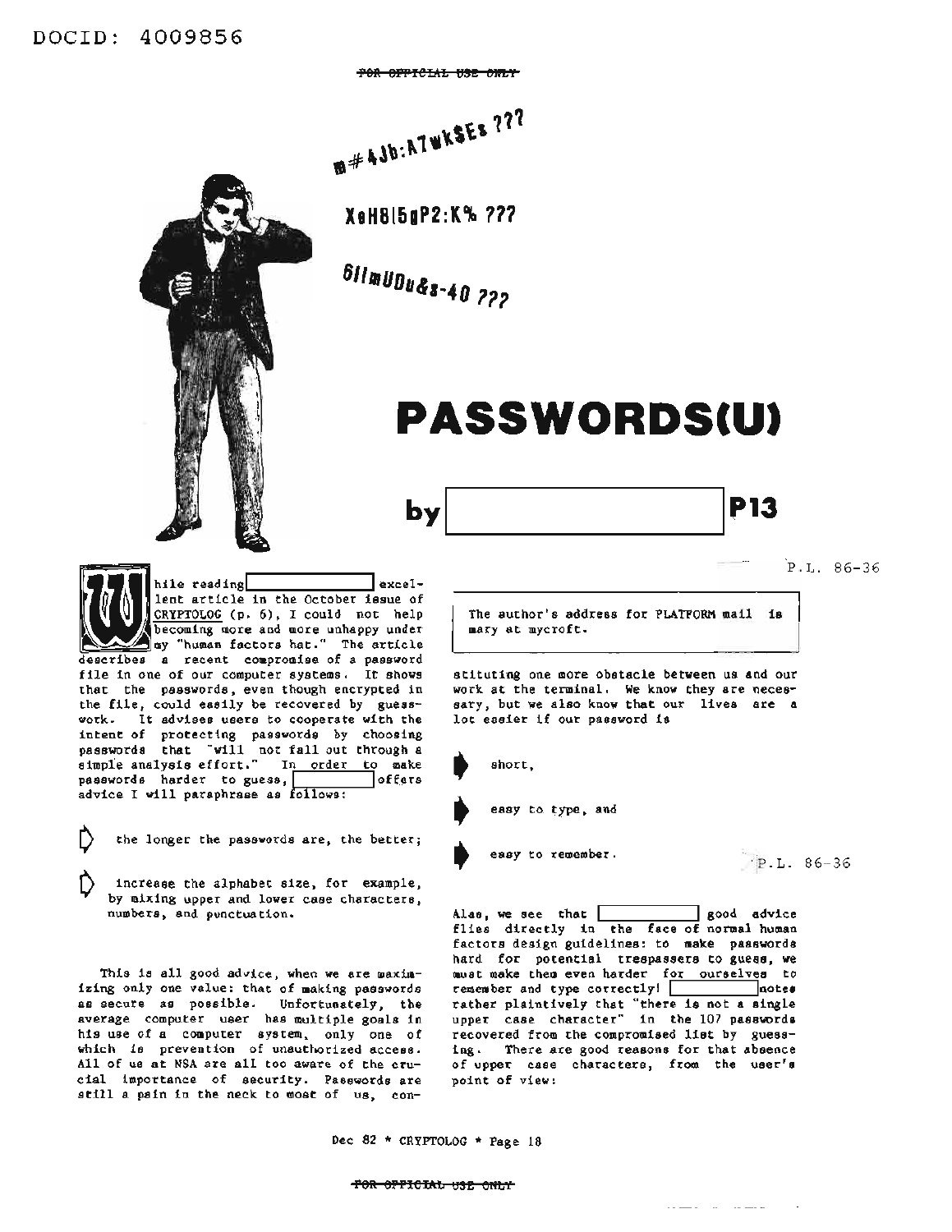POR OFFICIAL USE ONLY

 $A^{*}$ 

**XeHBI5gP2:K\ 111**

**6/11100U&***'-40 <sup>111</sup>*

bv

## **PASSWORDSCU)**

I hile read lent article in the October issue of CRYPTOLOG (p. 6), I could not help becoming more and more unhappy under my "human factors hat." The article hile reading exceldescribes a recent compromise of a password file in one of our computer systems. It shows that the passwords, even though encrypted in the file, could easily be recovered by guesswork. It advises users to cooperate with the intent of protecting passwords by choosing passwords that "will not fall out through a simple analysis effort." In order to make<br>passwords harder to guess, state offers passwords harder to guess, advice I will paraphrase as follows:

the longer the passwords are, the better;

increase the alphabet size, for example, by mixing upper and lower case characters, numbers, and punctuation.

This is all good advice, when we are maximizing only one value: that of making passwords as secure as possible. Unfortunately, the average computer user has multiple goals in his use of a computer system, only one of which is prevention of unauthorized access. All of us at NSA are all too aware of the crucial importance of security. Passwords are still <sup>a</sup> pain in the neck to most of us, conP.L. 86-36

**P13** 

The author's address for PLATFORM mail is mary at mycroft.

stituting one more obstacle between us and our work at the terminal. We know they are necessary, but we also know that our lives are a lot easier if our password is

short,

easy to type, and

easy to remember.

P.L. 86-36

Alas, we see that **I I I** good advice flies directly in the face of normal human factors design guidelines: to make passwords hard for potential trespassers to guess, we must make them even harder for ourselves to remember and type correctly! 1.1 Inotes rather plaintively that "there is not a single upper case character" in the 107 passwords recovered from the compromised list by guessing. There are good reasons for that absence of upper case characters, from the user's point of view:

 $\ldots \ldots \ldots \ldots \ldots \ldots \ldots$ 

Dec <sup>82</sup> \* CRYPTOLOG \* Page <sup>18</sup>

### for oppicial use only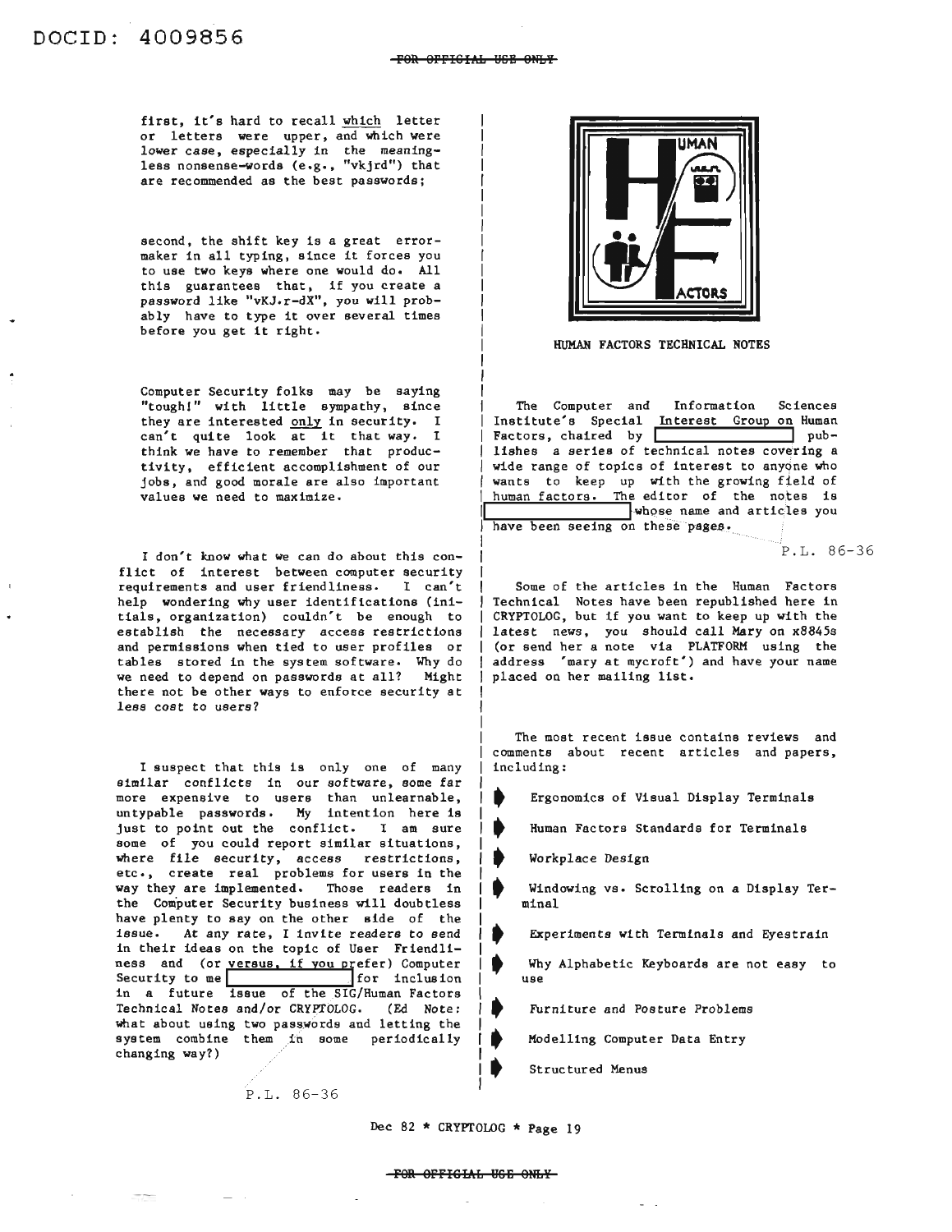first, it's hard to recall which letter or letters were upper, and which were lower case, especially in the meaningless nonsense-words (e.g., "vkjrd") that are recommended as the best passwords;

second, the shift key is a great errormaker in all typing, since it forces you to use two keys where one would do. All this guarantees that, if you create a password like "vKJ.r-dX", you will probably have to type it over several times before you get it right.

Computer Security folks may be saying "tough!" with little sympathy, since they are interested only in security. I<br>can't quite look at it that way. I think we have to remember that productivity, efficient accomplishment of our jobs, and good morale are also important values we need to maximize.

I don't know what we can do about this conflict of interest between computer security requirements and user friendliness. I can't help wondering why user identifications (initials, organization) couldn't be enough to establish the necessary access restrictions and permissions when tied to user profiles or tables stored in the system software. Why do we need to depend on passwords at all? Might there not be other ways to enforce security at less cost to users?

I suspect that this is only one of many similar conflicts in our software, some far more expensive to users than unlearnable, untypable passwords. My intention here is just to point out the conflict. I am sure some of you could report similar situations, where file security, access restrictions, etc., create real problems for users in the way they are implemented. Those readers in the Computer Security business will doubtless have plenty to say on the other side of the issue. At any rate, I invite readers to send in their ideas on the topic of User Friendliness and (or versus, if you prefer) Computer more expensive to users than unicarhable,<br>untypable passwords. My intention here is<br>fust to point out the conflict. I am sure<br>some of you could report similar situations,<br>where file security, access restrictions,<br>etc., cre in a future issue of the SIG/Human Factors Technical Notes and/or CRYPTOLOG. (Ed Note: what about using two passwords and letting the system combine them in some periodically changing way?)

P.L. 86-36



HUMAN FACTORS TECHNICAL NOTES

The Computer and Information Sciences Institute's Special Interest Group on Human Factors, chaired by **I** publishes a series of technical notes covering a wide range of topics of interest to anyone who wants to keep up with the growing field of human factors. The editor of the notes is whose name and articles you have been seeing on these pages.

P.L. 86-36

Some of the articles in the Human Factors Technical Notes have been republished here in CRYPTOLOG, but if you want to keep up with the latest news, you should call Mary on x8845s (or send her a note via PLATFORM using the address 'mary at mycroft') and have your name placed on her mailing list.

The most recent issue contains reviews and comments about recent articles and papers, including:

•<br>•<br>• Ergonomics of Visual Display Terminals

• Human Factors Standards for Terminals

Workplace Design

•<br>•<br>◆ • Windowing vs. Scrolling on a Display Terminal

Experiments with Terminals and Eyestrain

ቀ<br>ቀ<br>▲ • Why Alphabetic Keyboards are not easy to use

•<br>•<br>• Furniture and Posture Problems

• Modelling Computer Data Entry

Structured Menus

Dec <sup>82</sup> \* CRYPTOLOG \* Page <sup>19</sup>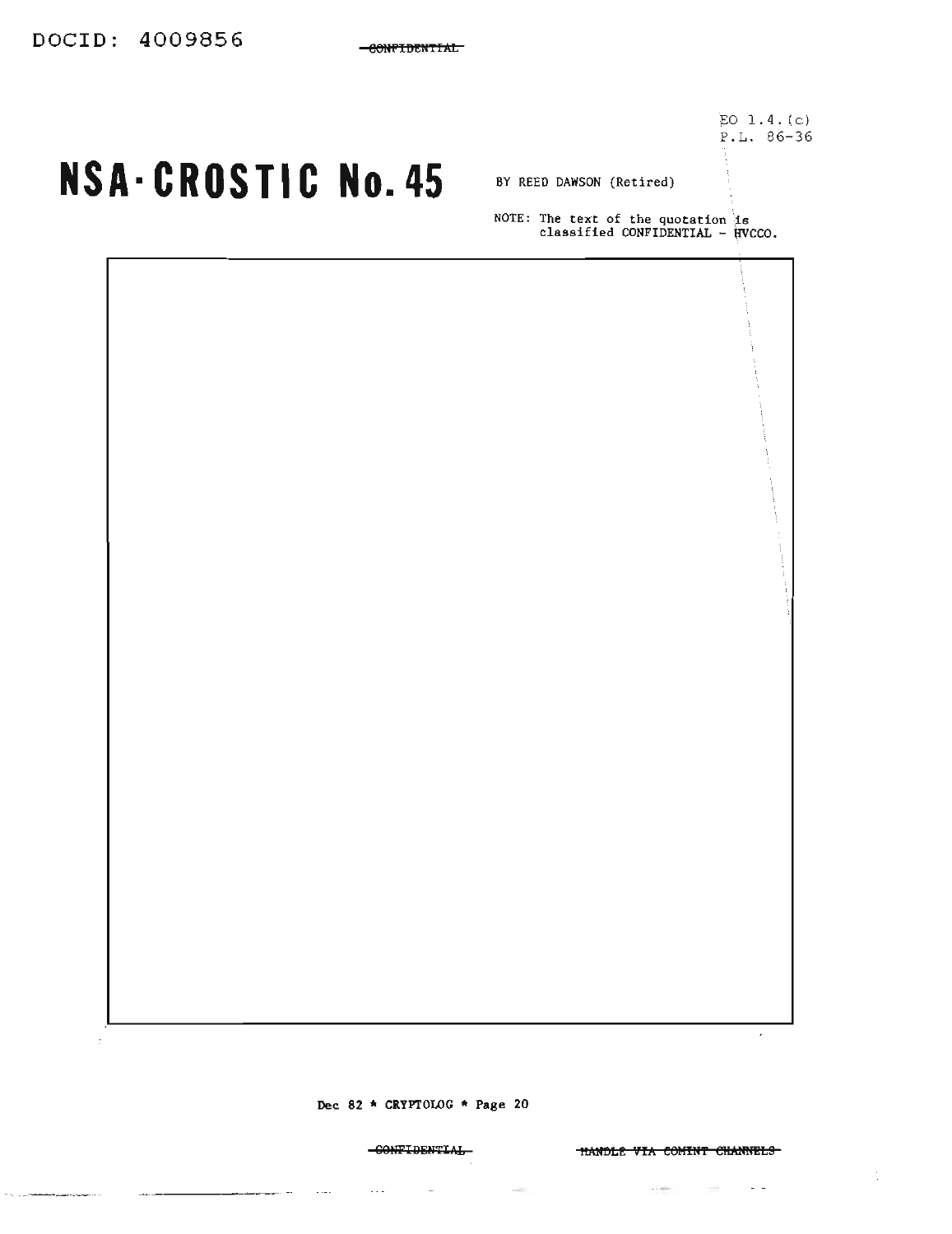EO  $1.4.(c)$  $P.L. 86-36$ 

## NSA-CROSTIC No. 45 BY REED DAWSON (Retired)

NOTE: The text of the quotation is<br>classified CONFIDENTIAL - HVCCO.

Dec 82 \* CRYPTOLOG \* Page 20

-CONFIDENTIAL

 $\epsilon$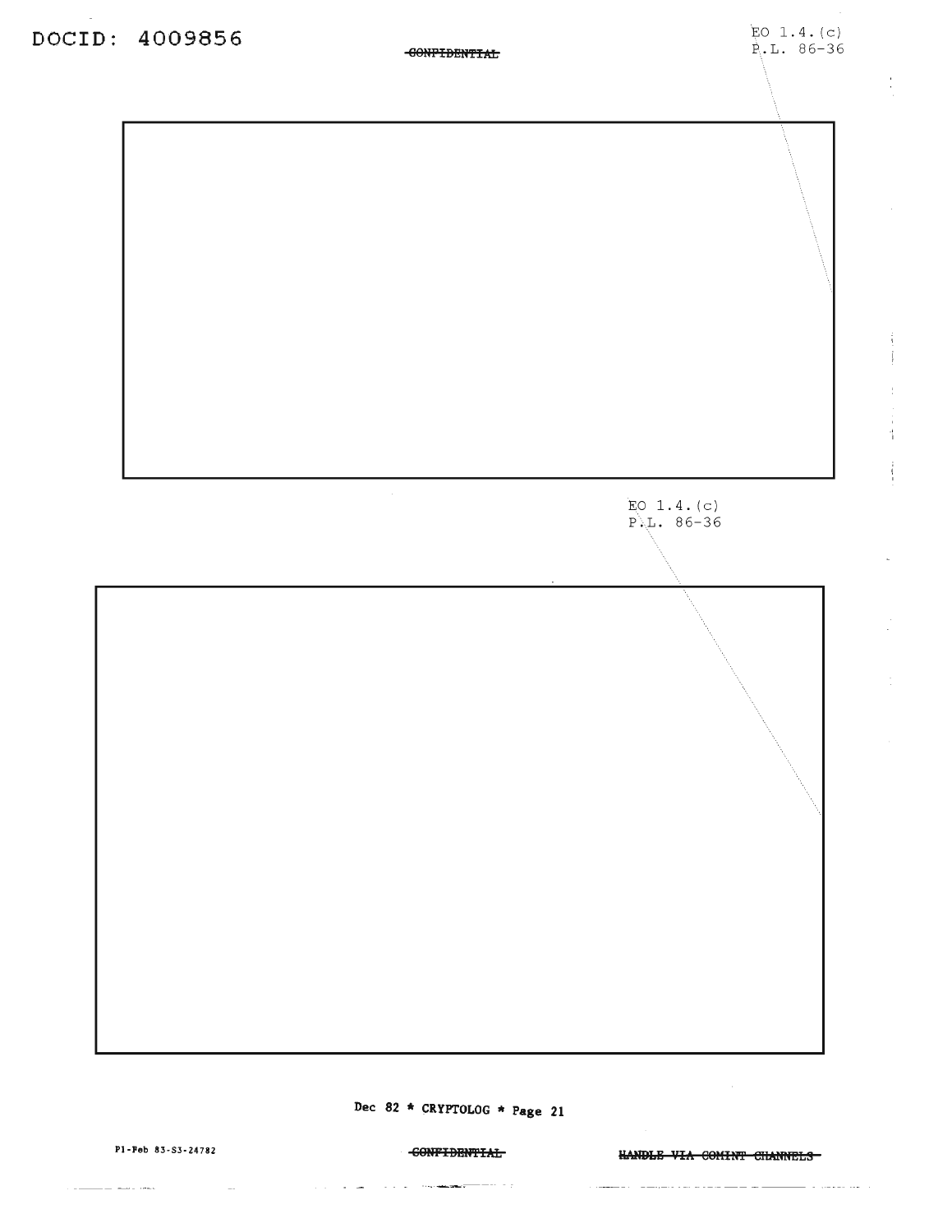$\frac{1}{2}$ 



## Dec 82 \* CRYPTOLOG \* Page 21

Pl-Peb 83-S3-24782

المساويد المستريب

 $\sim 10$ 

**CONFIDENTIAL** 

 $\mathcal{A}(\mathcal{A})$  , and  $\mathcal{A}(\mathcal{A})$  , and  $\mathcal{A}(\mathcal{A})$  , the constraints of the  $\mathcal{A}(\mathcal{A})$ 

HANDLE VIA COMINT CHANNELS

aan aadka aadaa aadaa a